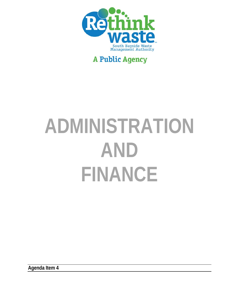

# **A Public Agency**

# **ADMINISTRATION AND FINANCE**

**Agenda Item 4**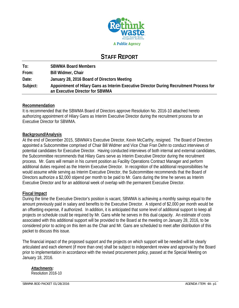

# **STAFF REPORT**

| To:      | <b>SBWMA Board Members</b>                                                                                                 |
|----------|----------------------------------------------------------------------------------------------------------------------------|
| From:    | <b>Bill Widmer, Chair</b>                                                                                                  |
| Date:    | January 28, 2016 Board of Directors Meeting                                                                                |
| Subject: | Appointment of Hilary Gans as Interim Executive Director During Recruitment Process for<br>an Executive Director for SBWMA |

# **Recommendation**

It is recommended that the SBWMA Board of Directors approve Resolution No. 2016-10 attached hereto authorizing appointment of Hilary Gans as Interim Executive Director during the recruitment process for an Executive Director for SBWMA.

# **Background/Analysis**

At the end of December 2015, SBWMA's Executive Director, Kevin McCarthy, resigned. The Board of Directors appointed a Subcommittee comprised of Chair Bill Widmer and Vice Chair Fran Dehn to conduct interviews of potential candidates for Executive Director. Having conducted interviews of both internal and external candidates, the Subcommittee recommends that Hilary Gans serve as Interim Executive Director during the recruitment process. Mr. Gans will remain in his current position as Facility Operations Contract Manager and perform additional duties required as the Interim Executive Director. In recognition of the additional responsibilities he would assume while serving as Interim Executive Director, the Subcommittee recommends that the Board of Directors authorize a \$2,000 stipend per month to be paid to Mr. Gans during the time he serves as Interim Executive Director and for an additional week of overlap with the permanent Executive Director.

# **Fiscal Impact**

During the time the Executive Director's position is vacant, SBWMA is achieving a monthly savings equal to the amount previously paid in salary and benefits to the Executive Director. A stipend of \$2,000 per month would be an offsetting expense, if authorized. In addition, it is anticipated that some level of additional support to keep all projects on schedule could be required by Mr. Gans while he serves in this dual capacity. An estimate of costs associated with this additional support will be provided to the Board at the meeting on January 28, 2016, to be considered prior to acting on this item as the Chair and Mr. Gans are scheduled to meet after distribution of this packet to discuss this issue.

The financial impact of the proposed support and the projects on which support will be needed will be clearly articulated and each element (if more than one) shall be subject to independent review and approval by the Board prior to implementation in accordance with the revised procurement policy, passed at the Special Meeting on January 18, 2016.

*Attachments:*  Resolution 2016-10

SBWMA BOD PACKET 01/28/2016 **AGENDA ITEM: 4A- p1**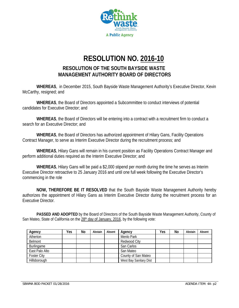

# **RESOLUTION NO. 2016-10**

# **RESOLUTION OF THE SOUTH BAYSIDE WASTE MANAGEMENT AUTHORITY BOARD OF DIRECTORS**

**WHEREAS**, in December 2015, South Bayside Waste Management Authority's Executive Director, Kevin McCarthy, resigned; and

**WHEREAS**, the Board of Directors appointed a Subcommittee to conduct interviews of potential candidates for Executive Director; and

**WHEREAS**, the Board of Directors will be entering into a contract with a recruitment firm to conduct a search for an Executive Director; and

**WHEREAS**, the Board of Directors has authorized appointment of Hilary Gans, Facility Operations Contract Manager, to serve as Interim Executive Director during the recruitment process; and

**WHEREAS**, Hilary Gans will remain in his current position as Facility Operations Contract Manager and perform additional duties required as the Interim Executive Director; and

**WHEREAS**, Hilary Gans will be paid a \$2,000 stipend per month during the time he serves as Interim Executive Director retroactive to 25 January 2016 and until one full week following the Executive Director's commencing in the role

**NOW, THEREFORE BE IT RESOLVED** that the South Bayside Waste Management Authority hereby authorizes the appointment of Hilary Gans as Interim Executive Director during the recruitment process for an Executive Director.

 **PASSED AND ADOPTED** by the Board of Directors of the South Bayside Waste Management Authority, County of San Mateo, State of California on the 28<sup>th</sup> day of January, 2016, by the following vote:

| Agency             | Yes | No | Abstain | Absent | Agency                 | Yes | No | Abstain | Absent |
|--------------------|-----|----|---------|--------|------------------------|-----|----|---------|--------|
| Atherton           |     |    |         |        | Menlo Park             |     |    |         |        |
| Belmont            |     |    |         |        | Redwood City           |     |    |         |        |
| Burlingame         |     |    |         |        | San Carlos             |     |    |         |        |
| East Palo Alto     |     |    |         |        | San Mateo              |     |    |         |        |
| <b>Foster City</b> |     |    |         |        | County of San Mateo    |     |    |         |        |
| Hillsborough       |     |    |         |        | West Bay Sanitary Dist |     |    |         |        |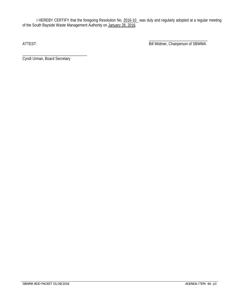I HEREBY CERTIFY that the foregoing Resolution No. 2016-10\_ was duly and regularly adopted at a regular meeting of the South Bayside Waste Management Authority on January 28, 2016.

 $\overline{\phantom{a}}$  , and the contract of the contract of the contract of the contract of the contract of the contract of the contract of the contract of the contract of the contract of the contract of the contract of the contrac ATTEST: Bill Widmer, Chairperson of SBWMA

\_\_\_\_\_\_\_\_\_\_\_\_\_\_\_\_\_\_\_\_\_\_\_\_\_\_\_\_\_\_\_\_\_ Cyndi Urman, Board Secretary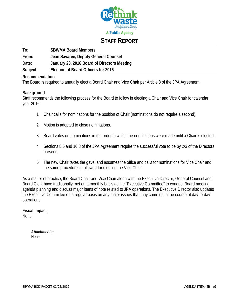

# **STAFF REPORT**

**To: SBWMA Board Members From: Jean Savaree, Deputy General Counsel** 

**Date: January 28, 2016 Board of Directors Meeting** 

**Subject: Election of Board Officers for 2016** 

# **Recommendation**

The Board is required to annually elect a Board Chair and Vice Chair per Article 8 of the JPA Agreement.

# **Background**

Staff recommends the following process for the Board to follow in electing a Chair and Vice Chair for calendar year 2016:

- 1. Chair calls for nominations for the position of Chair (nominations do not require a second).
- 2. Motion is adopted to close nominations.
- 3. Board votes on nominations in the order in which the nominations were made until a Chair is elected.
- 4. Sections 8.5 and 10.8 of the JPA Agreement require the successful vote to be by 2/3 of the Directors present.
- 5. The new Chair takes the gavel and assumes the office and calls for nominations for Vice Chair and the same procedure is followed for electing the Vice Chair.

As a matter of practice, the Board Chair and Vice Chair along with the Executive Director, General Counsel and Board Clerk have traditionally met on a monthly basis as the "Executive Committee" to conduct Board meeting agenda planning and discuss major items of note related to JPA operations. The Executive Director also updates the Executive Committee on a regular basis on any major issues that may come up in the course of day-to-day operations.

**Fiscal Impact**  None.

> *Attachments:*  None.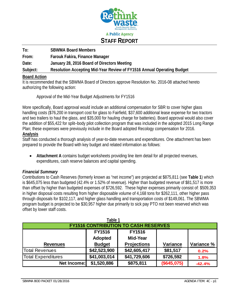

| To:      | <b>SBWMA Board Members</b>                                             |
|----------|------------------------------------------------------------------------|
| From:    | Farouk Fakira, Finance Manager                                         |
| Date:    | January 28, 2016 Board of Directors Meeting                            |
| Subject: | Resolution Accepting Mid-Year Review of FY1516 Annual Operating Budget |

# **Board Action**

It is recommended that the SBWMA Board of Directors approve Resolution No. 2016-08 attached hereto authorizing the following action:

Approval of the Mid-Year Budget Adjustments for FY1516

More specifically, Board approval would include an additional compensation for SBR to cover higher glass handling costs (\$76,200 in transport cost for glass to Fairfield, \$37,600 additional lease expense for two tractors and two trailers to haul the glass, and \$35,000 for hauling charge for batteries). Board approval would also cover the addition of \$55,422 for split–body pilot collection program that was included in the adopted 2015 Long Range Plan; these expenses were previously include in the Board adopted Recology compensation for 2016. **Analysis** 

Staff has conducted a thorough analysis of year-to-date revenues and expenditures. One attachment has been prepared to provide the Board with key budget and related information as follows:

 **Attachment A** contains budget worksheets providing line item detail for all projected revenues, expenditures, cash reserve balances and capital spending.

# *Financial Summary*

Contributions to Cash Reserves (formerly known as "net income") are projected at \$875,811 (see **Table 1**) which is \$645,075 less than budgeted (42.4% or 1.52% of revenue). Higher than budgeted revenue of \$81,517 is more than offset by higher than budgeted expenses of \$726,592. These higher expenses primarily consist of: \$509,353 in higher disposal costs resulting from higher disposable volume of 4,168 tons for \$262,111, other higher pass through disposals for \$102,117, and higher glass handling and transportation costs of \$149,061. The SBWMA program budget is projected to be \$30,957 higher due primarily to sick pay PTO not been reserved which was offset by lower staff costs.

| Table 1                                     |               |               |             |            |  |  |  |  |  |  |
|---------------------------------------------|---------------|---------------|-------------|------------|--|--|--|--|--|--|
| <b>FY1516 CONTRIBUTION TO CASH RESERVES</b> |               |               |             |            |  |  |  |  |  |  |
|                                             | <b>FY1516</b> | <b>FY1516</b> |             |            |  |  |  |  |  |  |
|                                             | Adopted       | Mid-Year      |             |            |  |  |  |  |  |  |
| <b>Revenues</b>                             | <b>Budget</b> | Projections   | Variance    | Variance % |  |  |  |  |  |  |
| Total Revenues                              | \$42,523,900  | \$42,605,417  | \$81,517    | 0.2%       |  |  |  |  |  |  |
| <b>Total Expenditures</b>                   | \$41,003,014  | \$41,729,606  | \$726,592   | 1.8%       |  |  |  |  |  |  |
| Net Income:                                 | \$1,520,886   | \$875,811     | (\$645,075) | $-42.4%$   |  |  |  |  |  |  |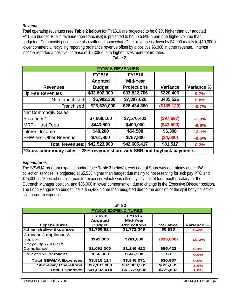# *Revenues*

Total operating revenues (see **Table 2 below**) for FY1516 are projected to be 0.2% higher than our adopted FY1516 budget. Public revenue (non-franchise) is projected to be up 5.8% in part due higher volume than budgeted. Commodity prices have also softened somewhat. Other revenue is down by \$4,000 mainly to \$10,000 in lower commercial recycling reporting ordinance revenue offset by a positive \$6,000 in other revenue. Interest income reported a positive increase of \$6,308 due to higher investment return rates.

| <b>FY1516 REVENUES</b>                                                    |               |              |              |            |  |  |  |  |  |  |
|---------------------------------------------------------------------------|---------------|--------------|--------------|------------|--|--|--|--|--|--|
|                                                                           | <b>FY1516</b> |              |              |            |  |  |  |  |  |  |
|                                                                           | Adopted       | Mid-Year     |              |            |  |  |  |  |  |  |
| <b>Revenues</b>                                                           | <b>Budget</b> | Projections  | Variance     | Variance % |  |  |  |  |  |  |
| Tip Fee Revenues                                                          | \$33,602,300  | \$33,822,706 | \$220,406    | 0.7%       |  |  |  |  |  |  |
| Non Franchised                                                            | \$6,982,300   | \$7,387,826  | \$405,526    | 5.8%       |  |  |  |  |  |  |
| Franchised                                                                | \$26,620,000  | \$26,434,880 | (\$185, 120) | $-0.7%$    |  |  |  |  |  |  |
| <b>Net Commodity Sales</b>                                                |               |              |              |            |  |  |  |  |  |  |
| Revenues*                                                                 | \$7,668,100   | \$7,570,403  | (\$97,697)   | $-1.3%$    |  |  |  |  |  |  |
| <b>MRF - Host Fees</b>                                                    | \$443,500     | \$400,000    | (\$43,500)   | $-9.8%$    |  |  |  |  |  |  |
| Interest Income                                                           | \$48,200      | \$54,508     | \$6,308      | 13.1%      |  |  |  |  |  |  |
| HHW and Other Revenue                                                     | \$761,800     | \$757,800    | (\$4,000)    | $-0.5%$    |  |  |  |  |  |  |
| <b>Total Revenues:</b>                                                    | \$42,523,900  | \$42,605,417 | \$81,517     | 0.2%       |  |  |  |  |  |  |
| *Gross commodity sales - 28% revenue share with SBR and buyback payments. |               |              |              |            |  |  |  |  |  |  |

# **Table 2**

# *Expenditures*

The SBWMA program expense budget (see **Table 3 below)**), exclusive of Shoreway operations and HHW collection services, is projected at \$5,535 higher than budget due mainly to not reserving for sick pay PTO and \$25,000 in expected outside recruiter expenses which was offset by savings of four months' salary for the Outreach Manager position, and \$36,000 in lower compensation due to change in the Executive Director position. The Long Range Plan budget line is \$55,422 higher than budgeted due to the addition of the split body collection pilot program expense.

| Table 3                        |               |              |            |            |  |  |  |  |  |  |
|--------------------------------|---------------|--------------|------------|------------|--|--|--|--|--|--|
| <b>FY1516 EXPENDITURES</b>     |               |              |            |            |  |  |  |  |  |  |
|                                | <b>FY1516</b> |              |            |            |  |  |  |  |  |  |
|                                | Adopted       | Mid-Year     |            |            |  |  |  |  |  |  |
| <b>Expenditures</b>            | <b>Budget</b> | Projections  | Variance   | Variance % |  |  |  |  |  |  |
| <b>Administrative Expenses</b> | \$1,766,814   | \$1,772,349  | \$5,535    | 0.3%       |  |  |  |  |  |  |
| Contract Compliance &          |               |              |            |            |  |  |  |  |  |  |
| Support                        | \$291,000     | \$261,000    | (\$30,000) | $-10.3%$   |  |  |  |  |  |  |
| Recycling & AB 939             |               |              |            |            |  |  |  |  |  |  |
| Compliance                     | \$1,091,000   | \$1,146,422  | \$55,422   | 5.1%       |  |  |  |  |  |  |
| <b>Collection Operations</b>   | \$666,300     | \$666,300    | \$0        | 0.0%       |  |  |  |  |  |  |
| <b>Total SBWMA Expenses:</b>   | \$3,815,114   | \$3,846,071  | \$30,957   | 0.8%       |  |  |  |  |  |  |
| <b>Shoreway Operations:</b>    | \$37,187,900  | \$37,883,535 | \$695,635  | 1.9%       |  |  |  |  |  |  |
| <b>Total Expenses:</b>         | \$41,003,014  | \$41,729,606 | \$726,592  | 1.8%       |  |  |  |  |  |  |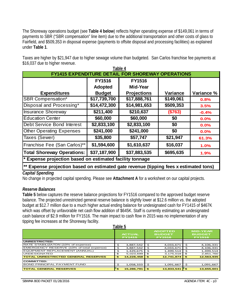The Shoreway operations budget (see **Table 4 below**) reflects higher operating expense of \$149,061 in terms of payments to SBR ("SBR compensation" line item) due to the additional transportation and other costs of glass to Fairfield, and \$509,353 in disposal expense (payments to offsite disposal and processing facilities) as explained under **Table 1**.

Taxes are higher by \$21,947 due to higher sewage volume than budgeted. San Carlos franchise fee payments at \$16,037 due to higher revenue. **Table 4** 

| Table 4                                                                               |               |                                                          |           |            |  |  |  |  |  |  |
|---------------------------------------------------------------------------------------|---------------|----------------------------------------------------------|-----------|------------|--|--|--|--|--|--|
|                                                                                       |               | <b>FY1415 EXPENDITURE DETAIL FOR SHOREWAY OPERATIONS</b> |           |            |  |  |  |  |  |  |
|                                                                                       | <b>FY1516</b> | <b>FY1516</b>                                            |           |            |  |  |  |  |  |  |
|                                                                                       | Adopted       | Mid-Year                                                 |           |            |  |  |  |  |  |  |
| <b>Expenditures</b>                                                                   | <b>Budget</b> | Projections                                              | Variance  | Variance % |  |  |  |  |  |  |
| <b>SBR Compensation*</b>                                                              | \$17,739,700  | \$17,888,761                                             | \$149,061 | 0.8%       |  |  |  |  |  |  |
| Disposal and Processing*                                                              | \$14,472,300  | \$14,981,653                                             | \$509,353 | 3.5%       |  |  |  |  |  |  |
| <b>Insurance Shoreway</b>                                                             | \$211,400     | \$210,637                                                | (\$763)   | $-0.4%$    |  |  |  |  |  |  |
| <b>Education Center</b>                                                               | \$60,000      | \$60,000                                                 | \$0       | 0.0%       |  |  |  |  |  |  |
| Debt Service Bond Interest                                                            | \$2,833,100   | \$2,833,100                                              | \$0       | 0.0%       |  |  |  |  |  |  |
| <b>Other Operating Expenses</b>                                                       | \$241,000     | \$241,000                                                | \$0       | 0.0%       |  |  |  |  |  |  |
| Taxes (Sewer)                                                                         | \$35,800      | \$57,747                                                 | \$21,947  | 61.3%      |  |  |  |  |  |  |
| Franchise Fee (San Carlos)**                                                          | \$1,594,600   | \$1,610,637                                              | \$16,037  | 1.0%       |  |  |  |  |  |  |
| <b>Total Shoreway Operations:</b>                                                     | \$37,187,900  | \$37,883,535                                             | \$695,635 | 1.9%       |  |  |  |  |  |  |
| * Expense projection based on estimated facility tonnage                              |               |                                                          |           |            |  |  |  |  |  |  |
| ** Expense projection based on estimated gate revenue (tipping fees x estimated tons) |               |                                                          |           |            |  |  |  |  |  |  |

# *Capital Spending*

No change in projected capital spending. Please see **Attachment A** for a worksheet on our capital projects.

# *Reserve Balances*

**Table 5** below captures the reserve balance projections for FY1516 compared to the approved budget reserve balance. The projected unrestricted general reserve balance is slightly lower at \$12.6 million vs. the adopted budget at \$12.7 million due to a much higher actual ending balance for undesignated cash for FY1415 of \$467K which was offset by unfavorable net cash flow addition of \$645K. Staff is currently estimating an undesignated cash balance of \$2.9 million for FY1516. The main impact to cash flow in 2015 was no implementation of any tipping fee increases at the Shoreway facility.

|                                            | ι αυις υ                       |            |     |                                                  |                                                   |            |
|--------------------------------------------|--------------------------------|------------|-----|--------------------------------------------------|---------------------------------------------------|------------|
|                                            | <b>ACTUAL</b><br><b>FY1415</b> |            |     | <b>ADOPTED</b><br><b>BUDGET</b><br><b>FY1516</b> | <b>MID-YEAR</b><br><b>BUDGET</b><br><b>FY1516</b> |            |
| UNRESTRICTED:                              |                                |            |     |                                                  |                                                   |            |
| RATE STABILIZATON (10% of expense)         | Ś                              | 3,887,542  | Ŝ   | 4,033,671                                        | . S                                               | 4,106,331  |
| EMERGENCY RESERVE (10% of total expense)   | \$                             | 3,887,542  | S   | 4,033,671                                        | \$.                                               | 4,106,331  |
| EQUIPMENT REPLACEMENT (ANNUAL)             | \$                             | 1,429,675  | Ś   | 1,499,514                                        | Ŝ                                                 | 1,499,514  |
| <b>UNDESIGNATED</b>                        | £.                             | 5,023,699  | \$  | 3,175,018                                        | \$.                                               | 2,851,760  |
| <b>TOTAL UNRESTRICTED GENERAL RESERVES</b> | \$                             | 14,228,458 | \$. | 12,741,874                                       | £.                                                | 12,563,935 |
| <b>COMMITTED:</b>                          |                                |            |     |                                                  |                                                   |            |
| <b>BOND PRINCIPAL PAYMENT FUND</b>         | \$                             | 1,058,333  | \$  | 1,091,667                                        | S                                                 | 1,091,667  |
| <b>TOTAL GENERAL RESERVES</b>              | \$                             | 15,286,791 | \$. | 13,833,541                                       | \$.                                               | 13,655,601 |

**Table 5**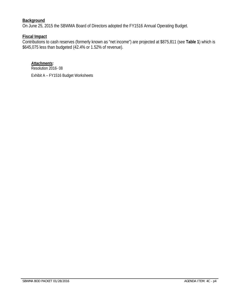# **Background**

On June 25, 2015 the SBWMA Board of Directors adopted the FY1516 Annual Operating Budget.

# **Fiscal Impact**

Contributions to cash reserves (formerly known as "net income") are projected at \$875,811 (see **Table 1**) which is \$645,075 less than budgeted (42.4% or 1.52% of revenue).

*Attachments:* Resolution 2016- 08

Exhibit A – FY1516 Budget Worksheets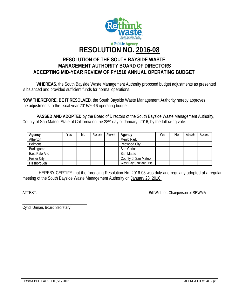

# **RESOLUTION OF THE SOUTH BAYSIDE WASTE MANAGEMENT AUTHORITY BOARD OF DIRECTORS ACCEPTING MID-YEAR REVIEW OF FY1516 ANNUAL OPERATING BUDGET**

**WHEREAS**, the South Bayside Waste Management Authority proposed budget adjustments as presented is balanced and provided sufficient funds for normal operations.

**NOW THEREFORE, BE IT RESOLVED**, the South Bayside Waste Management Authority hereby approves the adjustments to the fiscal year 2015/2016 operating budget.

 **PASSED AND ADOPTED** by the Board of Directors of the South Bayside Waste Management Authority, County of San Mateo, State of California on the 28<sup>nd</sup> day of January, 2016, by the following vote:

| Agency             | Yes | No | Abstain | Absent | Agency                  | Yes | No | Abstain | Absent |
|--------------------|-----|----|---------|--------|-------------------------|-----|----|---------|--------|
| Atherton           |     |    |         |        | Menlo Park              |     |    |         |        |
| Belmont            |     |    |         |        | Redwood City            |     |    |         |        |
| Burlingame         |     |    |         |        | San Carlos              |     |    |         |        |
| East Palo Alto     |     |    |         |        | San Mateo               |     |    |         |        |
| <b>Foster City</b> |     |    |         |        | County of San Mateo     |     |    |         |        |
| Hillsborough       |     |    |         |        | West Bay Sanitary Dist. |     |    |         |        |

I HEREBY CERTIFY that the foregoing Resolution No. 2016-08 was duly and regularly adopted at a regular meeting of the South Bayside Waste Management Authority on January 28, 2016.

ATTEST: Bill Widmer, Chairperson of SBWMA

\_\_\_\_\_\_\_\_\_\_\_\_\_\_\_\_\_\_\_\_\_\_\_\_\_\_\_\_\_\_\_\_\_ Cyndi Urman, Board Secretary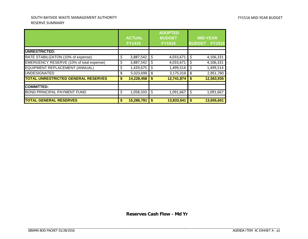#### SOUTH BAYSIDE WASTE MANAGEMENT AUTHORITY RESERVE SUMMARY

|                                            |    | <b>ACTUAL</b><br><b>FY1415</b> |    | <b>ADOPTED</b><br><b>BUDGET</b><br><b>FY1516</b> | <b>BUDGET</b> | <b>MID-YEAR</b><br><b>FY1516</b> |
|--------------------------------------------|----|--------------------------------|----|--------------------------------------------------|---------------|----------------------------------|
| <b>UNRESTRICTED:</b>                       |    |                                |    |                                                  |               |                                  |
| RATE STABILIZATON (10% of expense)         | \$ | 3,887,542                      | \$ | 4,033,671                                        | \$            | 4,106,331                        |
| EMERGENCY RESERVE (10% of total expense)   | \$ | 3,887,542                      | S  | 4,033,671                                        | \$            | 4,106,331                        |
| EQUIPMENT REPLACEMENT (ANNUAL)             | Ş  | 1,429,675                      | S  | 1,499,514                                        | \$            | 1,499,514                        |
| <b>UNDESIGNATED</b>                        | \$ | 5,023,699                      | \$ | 3,175,018                                        | \$            | 2,851,760                        |
| <b>TOTAL UNRESTRICTED GENERAL RESERVES</b> | \$ | 14,228,458                     | \$ | 12,741,874                                       | \$            | 12,563,935                       |
| <b>COMMITTED:</b>                          |    |                                |    |                                                  |               |                                  |
| <b>BOND PRINCIPAL PAYMENT FUND</b>         | \$ | 1,058,333                      | \$ | 1,091,667                                        | \$            | 1,091,667                        |
| <b>TOTAL GENERAL RESERVES</b>              | \$ | 15,286,791                     | \$ | 13,833,541                                       | \$            | 13,655,601                       |

**Reserves Cash Flow - Md Yr**

\_\_\_\_\_\_\_\_\_\_\_\_\_\_\_\_\_\_\_\_\_\_\_\_\_\_\_\_\_\_\_\_\_\_\_\_\_ \_\_\_\_\_\_\_\_\_\_\_\_\_\_\_\_\_\_\_\_\_\_\_\_\_\_\_\_\_\_\_\_\_\_\_\_\_\_\_\_\_\_\_\_\_\_\_\_\_\_\_\_\_\_\_\_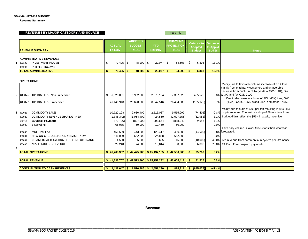#### **SBWMA - FY2014 BUDGET**

**Revenue Summary**

|   |                   | REVENUES BY MAJOR CATEGORY AND SOURCE                                            |    |                                |                                                  |                                                   |    | need info                                             |     |                                                       |                                      |                                                                                                                                                                   |
|---|-------------------|----------------------------------------------------------------------------------|----|--------------------------------|--------------------------------------------------|---------------------------------------------------|----|-------------------------------------------------------|-----|-------------------------------------------------------|--------------------------------------|-------------------------------------------------------------------------------------------------------------------------------------------------------------------|
|   |                   | <b>REVENUE SUMMARY</b>                                                           |    | <b>ACTUAL</b><br><b>FY1415</b> | <b>ADOPTED</b><br><b>BUDGET</b><br><b>FY1516</b> | <b>YTD</b><br>12/10/15                            |    | <b>MID-YEAR</b><br><b>PROJECTION</b><br><b>FY1516</b> |     | <b>Variance to</b><br><b>Adopted</b><br><b>Budget</b> | <b>Variance</b><br>to Appvd<br>Bud % | <b>Notes</b>                                                                                                                                                      |
|   |                   | <b>ADMINISTRATIVE REVENUES</b>                                                   |    |                                |                                                  |                                                   |    |                                                       |     |                                                       |                                      |                                                                                                                                                                   |
|   | 409100            | <b>INVESTMENT INCOME</b>                                                         | \$ | $70,405$ \$                    | $48,200$ \$                                      | $20,077$ \$                                       |    | 54,508                                                | -\$ | 6,308                                                 | 13.1%                                |                                                                                                                                                                   |
|   | 409200            | <b>INTEREST INCOME</b>                                                           |    |                                |                                                  |                                                   |    |                                                       |     |                                                       |                                      |                                                                                                                                                                   |
|   |                   | <b>TOTAL ADMINISTRATIVE</b>                                                      | \$ | $70,405$ \$                    | $48,200$   \$                                    | 20,077                                            | s. | 54,508                                                |     | 6,308                                                 | 13.1%                                |                                                                                                                                                                   |
|   |                   |                                                                                  |    |                                |                                                  |                                                   |    |                                                       |     |                                                       |                                      |                                                                                                                                                                   |
|   | <b>OPERATIONS</b> |                                                                                  |    |                                |                                                  |                                                   |    |                                                       |     |                                                       |                                      |                                                                                                                                                                   |
|   |                   |                                                                                  |    |                                |                                                  |                                                   |    |                                                       |     |                                                       |                                      | Manily due to favorable volume increase of 3.3K tons<br>mainly from third party customers and unfavorable<br>decrease from public in Cubic yards of SW (1.4K), GW |
|   |                   | 480026 TIPPING FEES - Non Franchised                                             | \$ | 6,528,891                      | 6,982,300                                        | 2,876,184                                         |    | 7,387,826                                             |     | 405,526                                               |                                      | 5.8% (1.3K) and fav C&D 2.1K.                                                                                                                                     |
|   |                   | 480027 TIPPING FEES - Franchised                                                 |    | 26,140,918                     | 26,620,000                                       | 8,547,516                                         |    | 26,434,880                                            |     | (185, 120)                                            | $-0.7%$                              | Due to decrease in volume of SW (.66K) tons, GW<br>(1.3K), C&D, .125K, wood .35K, and other .145K.                                                                |
|   |                   |                                                                                  |    |                                |                                                  |                                                   |    |                                                       |     |                                                       |                                      | Mainly due to a dip of \$.98 per ton resulting in (\$66.4K)                                                                                                       |
|   | 480028            | <b>COMMODITY SALES</b>                                                           |    | 10,722,198                     | 9,630,400                                        | 2,516,037                                         |    | 9,555,999                                             |     | (74, 401)                                             |                                      | -0.8% drop in revenue. The rest is a drop of 56 tons in volume.                                                                                                   |
|   | 480029            | <b>COMMODITY REVENUE SHARING - NEW</b>                                           |    | (1,846,342)                    | (1,064,400)                                      | 424,560                                           |    | (1,097,355)                                           |     | (32, 955)                                             |                                      | 3.1% Budget didn't reflect the \$59K in quality incentive.                                                                                                        |
|   | 522717            | <b>Buyback Payment</b>                                                           |    | (879, 726)                     | (897,900)                                        | 293,664                                           |    | (888, 242)                                            |     | 9,658                                                 | $-1.1%$                              |                                                                                                                                                                   |
|   | 480025            | E Recycling                                                                      |    | 66,085                         | 50,000                                           | 10,450                                            |    | 50,000                                                |     |                                                       | 0.0%                                 |                                                                                                                                                                   |
|   |                   | <b>MRF Host Fee</b>                                                              |    |                                |                                                  |                                                   |    |                                                       |     |                                                       |                                      | Third pary volume is lower (3.5K) tons than what was                                                                                                              |
|   | 480033            |                                                                                  |    | 456,509                        | 443,500                                          | 129,417                                           |    | 400,000                                               |     | (43,500)                                              | 0.0%                                 | -9.8% forecasted.                                                                                                                                                 |
|   | 480031            | HHW ON-CALL COLLECTION SERVICE - NEW<br>COMMERCIAL RECYCLING REPORTING ORDINANCE |    | 546,029                        | 662,800<br>25,000                                | 324,888<br>625                                    |    | 662,800                                               |     |                                                       |                                      | -40.0% Fee revenue from commercial recyclers per Ordinance.                                                                                                       |
|   | 406001<br>480008  | MISCELLANEOUS REVENUE                                                            |    | 4,500<br>29,240                | 24,000                                           | 13,814                                            |    | 15,000<br>30,000                                      |     | (10,000)<br>6,000                                     |                                      | 25.0% CA Paint Care program payments.                                                                                                                             |
| 4 |                   |                                                                                  |    |                                |                                                  |                                                   |    |                                                       |     |                                                       |                                      |                                                                                                                                                                   |
|   |                   | <b>TOTAL OPERATIONS</b>                                                          |    | \$41,768,302                   |                                                  | $\frac{1}{2}$ 42,475,700 $\frac{1}{2}$ 15,137,155 |    | \$42,550,908                                          |     | 75,208                                                | 0.2%                                 |                                                                                                                                                                   |
|   |                   |                                                                                  |    |                                |                                                  |                                                   |    |                                                       |     |                                                       |                                      |                                                                                                                                                                   |
|   |                   | <b>TOTAL REVENUE</b>                                                             |    | \$41,838,707                   |                                                  | $\frac{1}{2}$ 42,523,900 \, \$ 15,157,232 \, \$   |    | 42,605,417                                            | -\$ | 81,517                                                | 0.2%                                 |                                                                                                                                                                   |
|   |                   |                                                                                  |    |                                |                                                  |                                                   |    |                                                       |     |                                                       |                                      |                                                                                                                                                                   |
|   |                   | <b>CONTRIBUTION TO CASH RESERVES</b>                                             | S. | $2,438,047$ \$                 |                                                  | $1,520,886$ \$ 2,551,290 \$                       |    | $875.811$ $\frac{1}{5}$                               |     | (645.075)                                             | $-42.4%$                             |                                                                                                                                                                   |

**Revenue**

\_\_\_\_\_\_\_\_\_\_\_\_\_\_\_\_\_\_\_\_\_\_\_\_\_\_\_\_\_\_\_\_\_\_\_\_\_ \_\_\_\_\_\_\_\_\_\_\_\_\_\_\_\_\_\_\_\_\_\_\_\_\_\_\_\_\_\_\_\_\_\_\_\_\_\_\_\_\_\_\_\_\_\_\_\_\_\_\_\_\_\_\_\_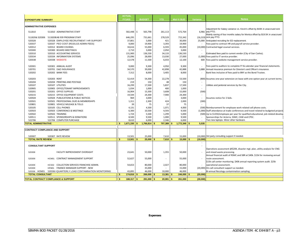| <b>EXPENDITURE SUMMARY</b>                                                                        |                                                 |            | FY1415         | <b>BUDGET</b> |                 |        | <b>YTD</b>               | Mid-Yr BUD     | Variance                                       | <b>Notes</b>                                                                                                                                                                 |
|---------------------------------------------------------------------------------------------------|-------------------------------------------------|------------|----------------|---------------|-----------------|--------|--------------------------|----------------|------------------------------------------------|------------------------------------------------------------------------------------------------------------------------------------------------------------------------------|
|                                                                                                   |                                                 |            |                |               |                 |        |                          |                |                                                |                                                                                                                                                                              |
| <b>ADMINISTRATIVE EXPENSES</b>                                                                    |                                                 |            |                |               |                 |        |                          |                |                                                | Adjustment for Salary variance vs. Kevin's offset by \$43K in unaccrued sick                                                                                                 |
| 511810                                                                                            | 511810 ADMINISTRATIVE STAFF                     |            | 582,448 \$     |               | 565,798         |        | 261,113                  | 572,764        |                                                | 6,966 pay PTO.                                                                                                                                                               |
|                                                                                                   |                                                 |            |                |               |                 |        |                          |                |                                                | Mainly saving of four months salary for Monica offset by \$19.5K in unaccrued                                                                                                |
| 511820& 520306                                                                                    | 5118208 AB 939 PROGRAM STAFF                    |            | 646,295        |               | 731,661         |        | 278,529                  | 715,342        |                                                | (16,319) sick pay PTO.                                                                                                                                                       |
| 520328                                                                                            | 520328 EMPLOYEE RECRUITMENT / HR SUPPORT        |            | 37,801         |               | 5,000           |        | 421                      | 30,000         |                                                | 25,000 Anticpated recruiting for ED replacement.                                                                                                                             |
| 520337                                                                                            | 520337 PEO COST (RGS/LGS ADMIN FEES)            |            | 9,000          |               | 19,900          |        | 3,393                    | 19,900         |                                                | Fees paid to contract HR and payroll service provider.                                                                                                                       |
| 520312                                                                                            | 520312 BOARD COUNSEL                            |            | 34,616         |               | 55,000          |        | 6,593                    | 45,000         |                                                | (10,000) Contracted legal counsel services.                                                                                                                                  |
| 520300                                                                                            | 520300 BOARD MEETINGS                           |            | 2,710          |               | 3,000           |        | 2,050                    | 3,000          |                                                |                                                                                                                                                                              |
| 520310                                                                                            | 520310 ACCOUNTING SERVICES                      |            | 131,900        |               | 136,530         |        | 34,133                   | 136,530        |                                                | Estimated fees paid to current vendor (City of San Carlos).                                                                                                                  |
| 520334                                                                                            | 520334 INFORMATION SYSTEMS                      |            | 25,096         |               | 28,000          |        | 13,030                   | 27,000         |                                                | (1,000) Fees paid to IT service provider.                                                                                                                                    |
| 520338                                                                                            | 520338 WEBSITE                                  |            | 12,578         |               | 11,500          |        | 6,033                    | 12,100         |                                                | 600 Fees paid to website management service provider.                                                                                                                        |
|                                                                                                   |                                                 |            |                |               |                 |        |                          |                |                                                |                                                                                                                                                                              |
| 520301                                                                                            | 520301 ANNUAL AUDIT                             |            | 9,000          |               | 9,300           |        | 4,950                    | 9,300          |                                                | Fees paid to auditors to complete FY & calendar year financial statements.                                                                                                   |
| 520701                                                                                            | 520701 D&O INSURANCE                            |            | 34,570         |               | 39,000          |        | 42,898                   | 42,888         | 3,888                                          | Annual insurance premium for Director's and Officer's insurance.                                                                                                             |
| 520202                                                                                            | 520202 BANK FEES                                |            | 7,312          |               | 8,000           |        | 3,405                    | 8,000          |                                                | Bank fees inclusive of fees paid to BNY as the Bond Trustee.                                                                                                                 |
|                                                                                                   |                                                 |            |                |               |                 |        |                          |                |                                                |                                                                                                                                                                              |
| 520203                                                                                            | 520203 RENT                                     |            | 52,419         |               | 54,300          |        | 22,278                   | 53,500         |                                                | (800) Assumes one-year extension on lease with one option year at current terms.                                                                                             |
| 520204                                                                                            | 520204 PRINTING AND POSTAGE                     |            | 219            |               | 150             |        | 48                       | 150            |                                                |                                                                                                                                                                              |
| 520107                                                                                            | 520107 UTILITIES                                |            | 16,299         |               | 17,500          |        | 5,837                    | 17,500         |                                                | Utilities and janitorial services by the City.                                                                                                                               |
| 520905                                                                                            | 520905 OFFICE/TENANT IMPROVEMENTS               |            | 1,034          |               | 1,000           |        | 400                      | 1,000          |                                                |                                                                                                                                                                              |
| 520201                                                                                            | 520201 OFFICE SUPPLIES                          |            | 16,904         |               | 15,500          |        | 3,608                    | 15,000         | (500)                                          |                                                                                                                                                                              |
| 520215                                                                                            | 520215 OFFICE EQUIPMENT COSTS                   |            | 19,544         |               | 24,300          |        | 7,900                    | 24,300         |                                                |                                                                                                                                                                              |
| 520504                                                                                            | 520504 PUBLICATIONS & PUBLIC NOTICES            |            | 969            |               | 3,000           |        |                          | 3,000          |                                                | Assumes notice for 2 bids.                                                                                                                                                   |
| 520501                                                                                            | 520501 PROFESSIONAL DUES & MEMBERSHIPS          |            | 1,311          |               | 2,300           |        | 424                      | 2,000          | (300)                                          |                                                                                                                                                                              |
| 520801                                                                                            | 520801 VEHICLE MILEAGE & TOLLS                  |            | 39             |               | 75              |        | 37                       | 75             |                                                |                                                                                                                                                                              |
| 520105                                                                                            | 520105 CELL PHONES                              |            | 4,131          |               | 4,500           |        | 1,071                    | 4,000          |                                                | (500) Reimbursement for employee work related cell phone costs.                                                                                                              |
| 520503<br>520502                                                                                  | 520503 CONFERENCE & MEETINGS<br>520502 TRAINING |            | 6,300          |               | 10,500<br>5,500 |        | 4,593<br>1,299           | 9,500<br>5,000 |                                                | (1,000) Staff attendance at trade conferences and travel related to budgeted projects<br>(500) Up to \$1250/employee per year for qualified educational, job related develop |
| 520511                                                                                            | 520511 SPONSORSHIPS & DONATIONS                 |            | 1,724<br>8,500 |               | 9,500           |        | 1,000                    | 9,500          |                                                |                                                                                                                                                                              |
| 522706                                                                                            | 522706 COMPUTER PURCHASE                        |            | 8,610          |               | 6,000           |        | 2,346                    | 6,000          |                                                | Sponsorships for Acterra, SSMC, CAW and CPSC.<br>Two new laptops. Minor other hardware.                                                                                      |
| <b>TOTAL ADMINISTRATIVE</b>                                                                       |                                                 | s.         | 1,671,330      |               | 1,766,814       |        | 707,389                  | 1,772,349      | 5,535                                          |                                                                                                                                                                              |
|                                                                                                   |                                                 |            |                |               |                 |        |                          |                |                                                |                                                                                                                                                                              |
|                                                                                                   | <b>CONTRACT COMPLIANCE AND SUPPORT</b>          |            |                |               |                 |        |                          |                |                                                |                                                                                                                                                                              |
|                                                                                                   |                                                 |            |                |               |                 |        |                          |                |                                                |                                                                                                                                                                              |
| 520307                                                                                            | 520307 RATE REVIEW                              |            | 13,501         |               | 25,000          |        | 7,610                    | 15,000         |                                                | (10,000) 3rd party consulting support if needed.                                                                                                                             |
| <b>TOTAL RATE REVIEW</b>                                                                          |                                                 | \$.        | 13,501         |               | 25,000          |        | 7,610                    | 15,000         | (10.000)                                       |                                                                                                                                                                              |
|                                                                                                   |                                                 |            |                |               |                 |        |                          |                |                                                |                                                                                                                                                                              |
| <b>CONSULTANT SUPPORT</b>                                                                         |                                                 |            |                |               |                 |        |                          |                |                                                |                                                                                                                                                                              |
|                                                                                                   |                                                 |            |                |               |                 |        |                          |                |                                                | Operations assessment @\$20K, disaster mgt. plan, utility analysis for CNG                                                                                                   |
| 520308                                                                                            | <b>FACILITY IMPROVEMENT OVERSIGHT</b>           |            | 23,641         |               | 50,000          |        | 1,355                    | 50,000         |                                                | and mixed waste processing.                                                                                                                                                  |
|                                                                                                   |                                                 |            |                |               |                 |        |                          |                |                                                | Annual financial audit of RSMC and SBR at \$40k. \$15k for reviewing annual                                                                                                  |
| HCM01 CONTRACT MANAGEMENT SUPPORT<br>520309                                                       |                                                 |            | 52,627         |               | 55,000          |        | $\overline{\phantom{a}}$ | 55,000         |                                                | route assessment.                                                                                                                                                            |
|                                                                                                   |                                                 |            |                |               |                 |        |                          |                |                                                | \$15k call center monitoring. \$40k annual reporting system audit. \$25k                                                                                                     |
| COLLECTION SERVICES FRANCHISE ADMIN.<br>520309<br>HCS02<br>HFM01<br>FINANCE MANAGER SUPPORT - NEW |                                                 |            | 54,653         |               | 80,000          |        | 2,027                    | 80,000         |                                                | operational assessment.                                                                                                                                                      |
| 520309                                                                                            |                                                 |            |                | 35,000        |                 |        | 15,000                   |                | (20,000) On-call consultant support as needed. |                                                                                                                                                                              |
| 520336 HCM01                                                                                      |                                                 | 43,895     |                | 46,000        |                 | 10,000 | 46,000                   |                | Bi-annual Recology contamination sampling.     |                                                                                                                                                                              |
| <b>TOTAL CONSULTANT</b>                                                                           |                                                 | \$         | 174,816        |               | 266,000         | S      | 13,381                   | 246,000        | (20,000)                                       |                                                                                                                                                                              |
|                                                                                                   | <b>TOTAL CONTRACT COMPLIANCE &amp; SUPPORT</b>  | $\sqrt{3}$ | $188,317$ \$   |               | $291,000$ \$    |        | $20,991$ \$              | 261,000        | (30.000)                                       |                                                                                                                                                                              |

**Expenses**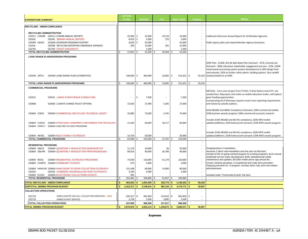|                                                                                      |              | <b>ACTUAL</b>  |    |               |    |            |    |              |                        |                                                                                                                                                         |  |  |
|--------------------------------------------------------------------------------------|--------------|----------------|----|---------------|----|------------|----|--------------|------------------------|---------------------------------------------------------------------------------------------------------------------------------------------------------|--|--|
| <b>EXPENDITURE SUMMARY</b>                                                           |              | FY1415         |    | <b>BUDGET</b> |    | <b>YTD</b> |    | Mid-Yr BUD   | Variance               | <b>Notes</b>                                                                                                                                            |  |  |
|                                                                                      |              |                |    |               |    |            |    |              | $\sim$                 |                                                                                                                                                         |  |  |
| <b>RECYCLING - AB939 COMPLIANCE</b>                                                  |              |                |    |               |    |            |    |              | ÷.                     |                                                                                                                                                         |  |  |
| <b>RECYCLING ADMINISTRATION</b>                                                      |              |                |    |               |    |            |    |              |                        |                                                                                                                                                         |  |  |
| 520311 CIWMB 520311 (CIWMB ANNUAL REPORTS                                            |              | 25,000         | \$ | 25,000        |    | 19,734     |    | 25,000       |                        | CalRecycle Electronic Annual Report for 10 Member Agencies.                                                                                             |  |  |
| 520341<br>520341 SBWMA ANNUAL REPORT                                                 |              | 8,010          | \$ | 5,000         |    | 270        |    | 5,000        |                        |                                                                                                                                                         |  |  |
| 520309 HDV01<br>520309 I DIVERSION PROGRAM SUPPORT                                   |              | 4,643          | \$ | 45,000        |    |            |    | 45,000       |                        | Public Spaces pilot and related Member Agency Assistance.                                                                                               |  |  |
| 520508<br>520508 RECYCLING REPORTING ORDINANCE EXPENSES                              |              | 200            |    | 15,000        |    | 201        |    | 15,000       |                        |                                                                                                                                                         |  |  |
| 522705<br>522705 EVENT GIVEAWAYS                                                     |              |                |    | 1,500         |    |            |    | 1,500        |                        |                                                                                                                                                         |  |  |
| TOTAL RECYCLING ADMINISTRATION                                                       |              | 37,852         |    | 91,500        |    | 20,204     |    | 91,500       | $\sim$                 |                                                                                                                                                         |  |  |
| LONG RANGE PLAN/DIVERSION PROGRAMS                                                   |              |                |    |               |    |            |    |              |                        |                                                                                                                                                         |  |  |
|                                                                                      |              |                |    |               |    |            |    |              |                        |                                                                                                                                                         |  |  |
|                                                                                      |              |                |    |               |    |            |    |              |                        | EOW Pilot - \$120k; \$55.4K Split-Body Pilot Outreach - \$17k; Commercial<br>Outreach - \$60k; Education stakeholder engagement process - \$25k. \$183k |  |  |
|                                                                                      |              |                |    |               |    |            |    |              |                        | mixed waste processing system project development to 30% design level                                                                                   |  |  |
|                                                                                      |              |                |    |               |    |            |    |              |                        | and estimate. \$25k to further refine admin. building options. Zero landfill                                                                            |  |  |
| 520340 LRPU1<br>520340 I LONG RANGE PLAN ALTERNATIVES                                |              | 146,600        | \$ | 460,000       |    | 23,845     | \$ | $515,422$ \$ |                        | 55,422 analysis/taskforce at \$30k.                                                                                                                     |  |  |
|                                                                                      |              |                |    |               |    |            |    |              |                        |                                                                                                                                                         |  |  |
| TOTAL LONG RANGE PLAN/DIVERSION PROGRAMS                                             |              | 146,600        |    | 460,000       |    | 23,845     |    | 515,422      | 55,422<br>-Ś           |                                                                                                                                                         |  |  |
| <b>COMMERCIAL PROGRAMS</b>                                                           |              |                |    |               |    |            |    |              |                        |                                                                                                                                                         |  |  |
|                                                                                      |              |                |    |               |    |            |    |              |                        | MD Note - Carry over project from FY1415. If done before end of FY, not                                                                                 |  |  |
|                                                                                      |              |                |    |               |    |            |    |              |                        | needed then. Repurpose 2nd trailer as mobile education trailer, will explore                                                                            |  |  |
| 520331<br>520331 LARGE EVENT/VENUE CONSULTING                                        |              |                | \$ | 7,500         |    |            |    | 7,500        |                        | grant funding opportunities.                                                                                                                            |  |  |
|                                                                                      |              |                |    |               |    |            |    |              |                        | Incorporating all of Shoreway requires much more reporting requirements                                                                                 |  |  |
| 520608<br>520608 CLIMATE CHANGE POLICY OPTIONS                                       |              | 15,636         |    | 27,000        |    | 5,305      |    | 27,000       |                        | and review by outside auditors.                                                                                                                         |  |  |
|                                                                                      |              |                |    |               |    |            |    |              |                        |                                                                                                                                                         |  |  |
|                                                                                      |              |                |    |               |    |            |    |              |                        | \$15k-AB1826 and AB341 Compliance Outreach; \$20K commercial toolkit;                                                                                   |  |  |
| 520604 COE01<br>520604 (COMMERCIAL RECYCLING TECHNICAL ASSIST                        |              | 35,885         |    | 75,000        |    | 3,745      |    | 75,000       |                        | \$10k-business awards program; \$30k-commercial accounts research.                                                                                      |  |  |
|                                                                                      |              |                |    |               |    |            |    |              |                        | Includes \$10K AB1826 and AB 341 compliance, \$20K MFD toolkit                                                                                          |  |  |
| 520604 (PURCHASE COMM/MFD CONTAINERS FOR RECOLOGY<br>520604 COE02                    |              | 21,440         |    | 60,000        |    | 18,717     |    | 60,000       |                        | updates/additions; \$10K battery/cell outreach; \$10K-MFD awards program.                                                                               |  |  |
| 520604 CDRCY 520604 (C&D RECYCLING PROGRAM                                           |              |                |    |               |    |            |    |              |                        |                                                                                                                                                         |  |  |
|                                                                                      |              |                |    |               |    |            |    |              |                        |                                                                                                                                                         |  |  |
|                                                                                      |              |                |    |               |    |            |    |              |                        | Includes \$10K AB1826 and AB 341 compliance, \$20K MFD toolkit                                                                                          |  |  |
| 520604 IMULTI-FAMILY OUTREACH<br>520604 MF001                                        |              | 14,729         |    | 50,000        |    |            |    | 50,000       |                        | updates/additions; \$10K battery/cell outreach; \$10K-MFD awards program.                                                                               |  |  |
| <b>TOTAL COMMERCIAL PROGRAMS</b>                                                     |              | 87,690         | Ś  | 219,500       |    | 27,767     |    | 219,500      | $\sim$<br>$\mathbf{r}$ |                                                                                                                                                         |  |  |
| <b>RESIDENTIAL PROGRAMS</b>                                                          |              |                |    |               |    |            |    |              | $\sim$                 |                                                                                                                                                         |  |  |
| 520604 QNL01<br>520604 (QUARTERLY NEWLESTTER DESIGN/SETUP                            |              | 11.176         |    | 20,000        |    | 66         |    | 20,000       |                        | Design/produce 3 newsletters.                                                                                                                           |  |  |
| 520604 ONLPM<br>520604 (QUARTERLY NEWLESTTER PRINTING/MAILING                        |              | 80,016         |    | 90,000        |    | 36,706     |    | 90,000       |                        | Assumes 2 direct mail newsletters and one sent via bill insert.                                                                                         |  |  |
|                                                                                      |              |                |    |               |    |            |    |              |                        | Includes \$70K on-going outreach/support for existing programs; \$12K annual<br>residential service notice development; \$15K website/social media      |  |  |
| 520604 FRESIDENTIAL OUTREACH PROGRAMS<br>520604 RES01                                |              | 74,030         |    | 120,000       |    | 41,179     |    | 120,000      |                        | maintenance and updates; \$23,000 mobile phone app annual fee.                                                                                          |  |  |
| 520604 COMPS 520604 (COMMUNITY EVENTS                                                |              | 675            |    | 5,000         |    |            |    | 5,000        |                        | Covers compost giveaway, e-scrap/shred and coats drive promotion.                                                                                       |  |  |
|                                                                                      |              |                |    |               |    |            |    |              |                        | Ongoing promotion for in program, includes direct mail, print and outdoor                                                                               |  |  |
| 520604 HHWUW 520604 I HHW DOOR TO DOOR COLLECTION OUTREACH                           |              | 121,438        |    | 80,000        |    | 14,006     |    | 80,000       |                        | advertisements.                                                                                                                                         |  |  |
| 520335 CURBSIDE HOUSEHOLD BATTERY OUTREACH<br>520335                                 |              | 3,200          |    | 5,000         |    |            |    | 5,000        |                        |                                                                                                                                                         |  |  |
| 520604 ECE01<br>520604 I ELECTRONIC COLLECTIONS EVENTS<br>TOTAL RESIDENTIAL PROGRAMS | -S           | 945<br>291,481 |    | 320,000       |    | 91,957     |    | 320,000      | $\sim$                 | Included under "Community Events" line item.                                                                                                            |  |  |
| <b>TOTAL RECYCLING - AB939 COMPLIANCE</b>                                            |              | 563,624        |    | 1,091,000     |    | 163,773    |    | 1,146,422    | 55,422                 |                                                                                                                                                         |  |  |
|                                                                                      | <sup>s</sup> |                |    |               |    |            |    |              |                        |                                                                                                                                                         |  |  |
| SUBTOTAL SBWMA PROGRAM BUDGET                                                        |              | 2,423,271      |    | 3,148,814     |    | 892,154    |    | 3,179,771    | 30,957<br>÷            |                                                                                                                                                         |  |  |
| <b>COLLECTION OPERATIONS</b>                                                         |              |                |    |               |    |            |    |              |                        |                                                                                                                                                         |  |  |
| HHW/U-WASTE ON-CALL COLLECTION SERVICES -- NEW<br>522710                             |              | 545,327        | \$ | 662,800       |    | 213,622    | \$ | 662,800      | \$                     |                                                                                                                                                         |  |  |
| 522719<br>SHRED EVENT SERVICE                                                        |              | 2,278          |    | 3,500         |    | 3,895      |    | 3,500        |                        |                                                                                                                                                         |  |  |
| TOTAL COLLECTION OPERATIONS                                                          |              | 547,605        |    | 666,300       |    | 217,517    |    | 666,300      | $\sim$                 |                                                                                                                                                         |  |  |
| <b>TOTAL SBWMA PROGRAM BUDGET</b>                                                    | l \$         | $2,970,876$ \$ |    | 3,815,114     | \$ | 1,109,671  | \$ | 3,846,071    | 30.957<br>\$           |                                                                                                                                                         |  |  |

**Expenses**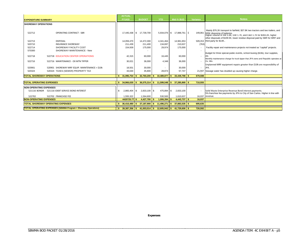|                                                                       |                                                  |       | <b>ACTUAL</b> |    |                 |    |            |    |                   |                          |                                                                                                       |
|-----------------------------------------------------------------------|--------------------------------------------------|-------|---------------|----|-----------------|----|------------|----|-------------------|--------------------------|-------------------------------------------------------------------------------------------------------|
| <b>EXPENDITURE SUMMARY</b>                                            |                                                  |       | <b>FY1415</b> |    | <b>BUDGET</b>   |    | <b>YTD</b> |    | <b>Mid-Yr BUD</b> | Variance                 | <b>Notes</b>                                                                                          |
| <b>SHOREWAY OPERATIONS</b>                                            |                                                  |       |               |    |                 |    |            |    |                   |                          |                                                                                                       |
|                                                                       |                                                  |       |               |    |                 |    |            |    |                   |                          |                                                                                                       |
| 522712                                                                | <b>OPERATING CONTRACT - SBR</b>                  |       |               |    |                 |    |            |    |                   |                          | Mainly \$76.2K transport to fairfield, \$37.8K two tractors and two trailers, and                     |
|                                                                       |                                                  |       | 17.445.438    | \$ | 17.739.700      |    | 5.934.076  | S. | 17.888.761 S      | 149,061                  | \$35K disposing of batteries.<br>Higher volume of SW 5.9K, GW 1.7K, and C&D 1.7K for \$393.2K, higher |
|                                                                       |                                                  |       |               |    |                 |    |            |    |                   |                          | other disposals of \$109.5K, lower residue disposal paid by SBR for MRF and                           |
| 522713                                                                | <b>DISPOSAL</b>                                  |       | 14,059,470    |    | 14,472,300      |    | 4.341.464  |    | 14.981.653        |                          | 509,353 third party for \$14K                                                                         |
| 520710                                                                | <b>INSURANCE SHOREWAY</b>                        |       | 211.439       |    | 211.400         |    | 134.697    |    | 210.637           | (763)                    |                                                                                                       |
| 522714                                                                | SHOREWAY FACILITY COST                           |       | 154,939       |    | 175,000         |    | 29,974     |    | 175,000           |                          | Facility repair and maintenance projects not treated as "capital" projects.                           |
| 570300                                                                | SHOREWAY MAINTENANCE - New                       |       |               |    |                 |    |            |    |                   |                          | Budget for three special public events, school busing (\$19k), tour supplies,                         |
| 522718                                                                | 522718 EDUCATION CENTER OPERATIONS               |       | 42,315        |    | 60,000          |    | 16.445     |    | 60,000            | $\overline{\phantom{a}}$ | etc.                                                                                                  |
|                                                                       |                                                  |       |               |    |                 |    |            |    |                   |                          | Monthly maintenance charge for truck tipper that JPA owns and Republic operates at                    |
| 522716                                                                | 522716 MAINTENANCE - OX MTN TIPPER               |       | 30,021        |    | 36,000          |    | 4.348      |    | 36,000            | ٠                        | Ox. Mtn.                                                                                              |
|                                                                       |                                                  |       |               |    |                 |    |            |    |                   |                          | Unplanned MRF equipment repairs greater than \$10k are responsibility of                              |
| 520901                                                                | 520901 SHOREWAY MRF EQUIP. MAINTENANCE > \$10k   |       | 18,501        |    | 30,000          |    |            |    | 30,000            |                          | JPA.                                                                                                  |
| 520324                                                                | 520324 TAXES (SEWER) PROPERTY TAX                |       | 33,630        |    | 35,800          |    | 28,874     |    | 57.747            | 21,947                   | Sewage water has doubled up causing higher charge.                                                    |
| <b>TOTAL SHOREWAY OPERATIONS</b>                                      |                                                  | l S   | 31,995,754    | \$ | 32,760,200      | s. | 10.489.877 | s. | $33,439,798$ \$   | 679.598                  |                                                                                                       |
|                                                                       |                                                  |       |               |    |                 |    |            |    |                   |                          |                                                                                                       |
| <b>TOTAL OPERATING EXPENSES</b>                                       |                                                  | ∣ \$∶ | 34,966,630    | s. | $36,575,314$ \$ |    | 11,599,548 | s. | 37,285,869 \$     | 710.555                  |                                                                                                       |
| <b>NON-OPERATING EXPENSES</b>                                         |                                                  |       |               |    |                 |    |            |    |                   |                          |                                                                                                       |
|                                                                       | 521116 BONDR 521116 I DEBT SERVICE BOND INTEREST |       | 2.865.404     | \$ | 2.833.100 \$    |    | 475.894    | \$ | 2,833,100         |                          | Solid Waste Enterprise Revenue Bond interest payments.                                                |
|                                                                       |                                                  |       |               |    |                 |    |            |    |                   |                          | 5% franchise fee payments by JPA to City of San Carlos. Higher in line with                           |
| 522702                                                                | 522702 FRANCHISE FEE                             |       | 1,555,322     |    | 1,594,600       |    | 530,500    |    | 1,610,637         | 16,037 revenue.          |                                                                                                       |
| <b>NON-OPERATING EXPENSES</b>                                         |                                                  |       | 4420725.77    | £. | 4,427,700       |    | 1,006,394  |    | $4,443,737$ \$    | 16,037                   |                                                                                                       |
|                                                                       | <b>TOTAL SHOREWAY OPERATING EXPENSES</b>         |       | 36,416,480    |    | 37.187.900      | s  | 11,496,271 |    | 37.883.535        | 695.635                  |                                                                                                       |
| <b>TOTAL OPERATING EXPENSES (SBWMA Program + Shoreway Operations)</b> |                                                  |       | 39,387,356    | S. | 41,003,014      | s. | 12,605,942 | s. | 41,729,606 \$     | 726,592                  |                                                                                                       |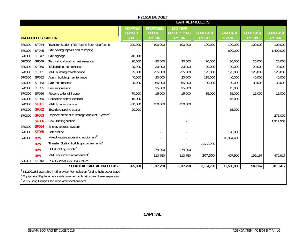|        |                            |                                                                        |                                                  | FY1516 BUDGET                                     |                                                        |                                  |                                  |                                  |                                  |
|--------|----------------------------|------------------------------------------------------------------------|--------------------------------------------------|---------------------------------------------------|--------------------------------------------------------|----------------------------------|----------------------------------|----------------------------------|----------------------------------|
|        |                            |                                                                        |                                                  |                                                   |                                                        | <b>CAPITAL PROJECTS</b>          |                                  |                                  |                                  |
|        | <b>PROJECT DESCRIPTION</b> |                                                                        | <b>ADOPTED</b><br><b>BUDGET</b><br><b>FY1415</b> | <b>PROPOSED</b><br><b>BUDGET</b><br><b>FY1516</b> | <b>MID YEAR</b><br><b>PROJECTIONS</b><br><b>FY1516</b> | <b>FORECAST</b><br><b>FY1617</b> | <b>FORECAST</b><br><b>FY1718</b> | <b>FORECAST</b><br><b>FY1819</b> | <b>FORECAST</b><br><b>FY1920</b> |
| 570300 | <b>SF044</b>               | Transfer Station (TS)Tipping floor resurfacing                         | 200,000                                          | 100,000                                           | 100,000                                                | 100,000                          | 100,000                          | 100,000                          | 100,000                          |
| 570300 | <b>SF045</b>               | Site paving repairs and restriping <sup>3</sup>                        |                                                  |                                                   |                                                        |                                  | 600,000                          |                                  | 1,400,000                        |
| 570300 | <b>SF047</b>               | Site signage                                                           | 40,000                                           |                                                   |                                                        |                                  |                                  |                                  |                                  |
| 570300 | <b>SF049</b>               | Truck shop building maintenance                                        | 20,000                                           | 20,000                                            | 20,000                                                 | 20,000                           | 20,000                           | 20,000                           | 20,000                           |
| 570300 | SF050                      | TS building maintenance                                                | 20,000                                           | 20,000                                            | 20,000                                                 | 20,000                           | 20,000                           | 20,000                           | 20,000                           |
| 570300 | SF051                      | MRF building maintenance                                               | 25,000                                           | 225,000                                           | 225,000                                                | 125,000                          | 125,000                          | 125,000                          | 125,000                          |
| 570300 | SF052                      | Admin building maintenance                                             | 40,000                                           | 20,000                                            | 20,000                                                 | 115,000                          | 40,000                           | 40,000                           | 40,000                           |
| 570300 | SF053                      | Site maintenance                                                       | 25,000                                           | 65,000                                            | 65,000                                                 | 30,000                           | 30,000                           | 30,000                           | 30,000                           |
| 570300 | SF055                      | Fire suppression                                                       |                                                  | 15,000                                            | 15,000                                                 |                                  | 15,000                           |                                  |                                  |
| 570300 | SF056                      | Repairs to landfill tipper                                             | 70,000                                           | 15,000                                            | 15,000                                                 | 15,000                           | 15,000                           | 15,000                           | 15,000                           |
| 570300 | SF060                      | Education center exhibits                                              | 15,000                                           |                                                   |                                                        |                                  | 15,000                           |                                  |                                  |
| 570300 | <b>SF061</b>               | MRF tip area canopy                                                    | 450,000                                          | 450,000                                           | 450,000                                                |                                  |                                  |                                  |                                  |
| 570300 | <b>SF062</b>               | Electric charging station                                              | 20,000                                           |                                                   |                                                        |                                  | 15,000                           |                                  |                                  |
| 570300 | <b>SF063</b>               | Replace diesel fuel storage and dist. System <sup>3</sup>              |                                                  |                                                   |                                                        |                                  |                                  |                                  | 275,000                          |
|        | <b>SF066</b>               | CNG fueling station $1, 3$                                             |                                                  |                                                   |                                                        |                                  |                                  |                                  | 1,312,500                        |
| 570300 | <b>SF064</b>               | Energy storage system                                                  |                                                  |                                                   |                                                        |                                  |                                  |                                  |                                  |
| 570300 | <b>SF065</b>               | Baler reline                                                           |                                                  |                                                   |                                                        |                                  | 120,000                          |                                  |                                  |
| 570300 | new                        | Mixed waste processing equipment <sup>3</sup>                          |                                                  |                                                   |                                                        |                                  | 10,984,400                       |                                  |                                  |
|        | new                        | Transfer Station building improvements <sup>3</sup>                    |                                                  |                                                   |                                                        | 2,532,200                        |                                  |                                  |                                  |
|        | new                        | LED Lighting retrofit <sup>3</sup>                                     |                                                  | 274,000                                           | 274,000                                                |                                  |                                  |                                  |                                  |
|        | new                        | MRF equipment replacement <sup>2</sup>                                 |                                                  | 113,750                                           | 113,750                                                | 207,500                          | 407,500                          | 199,167                          | 472,917                          |
| 520321 | SF013                      | PROGRAM CONTINGENCY                                                    |                                                  |                                                   |                                                        |                                  |                                  |                                  |                                  |
|        |                            | SUBTOTAL CAPITAL PROJECTS:                                             | 925,000                                          | 1,317,750                                         | 1,317,750                                              | 3,164,700                        | 12,506,900                       | 549,167                          | 3,810,417                        |
|        |                            | \$1,209,283 available in Shoreway Remediation fund to help cover capx. |                                                  |                                                   |                                                        |                                  |                                  |                                  |                                  |
|        |                            | Equipment Replacement cash reserve funds will cover these expenses.    |                                                  |                                                   |                                                        |                                  |                                  |                                  |                                  |
|        |                            | 2015 Long Range Plan recommended projects.                             |                                                  |                                                   |                                                        |                                  |                                  |                                  |                                  |

**CAPITAL**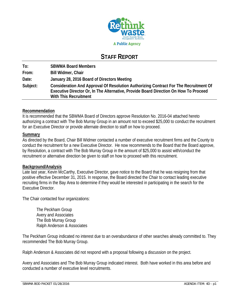

# **STAFF REPORT**

**To: SBWMA Board Members From: Bill Widmer, Chair Date: January 28, 2016 Board of Directors Meeting Subject: Consideration And Approval Of Resolution Authorizing Contract For The Recruitment Of Executive Director Or, In The Alternative, Provide Board Direction On How To Proceed With This Recruitment** 

# **Recommendation**

It is recommended that the SBWMA Board of Directors approve Resolution No. 2016-04 attached hereto authorizing a contract with The Bob Murray Group in an amount not to exceed \$25,000 to conduct the recruitment for an Executive Director or provide alternate direction to staff on how to proceed.

# **Summary**

As directed by the Board, Chair Bill Widmer contacted a number of executive recruitment firms and the County to conduct the recruitment for a new Executive Director. He now recommends to the Board that the Board approve, by Resolution, a contract with The Bob Murray Group in the amount of \$25,000 to assist with/conduct the recruitment or alternative direction be given to staff on how to proceed with this recruitment.

# **Background/Analysis**

Late last year, Kevin McCarthy, Executive Director, gave notice to the Board that he was resigning from that positive effective December 31, 2015. In response, the Board directed the Chair to contact leading executive recruiting firms in the Bay Area to determine if they would be interested in participating in the search for the Executive Director.

The Chair contacted four organizations:

 The Peckham Group Avery and Associates The Bob Murray Group Ralph Anderson & Associates

The Peckham Group indicated no interest due to an overabundance of other searches already committed to. They recommended The Bob Murray Group.

Ralph Anderson & Associates did not respond with a proposal following a discussion on the project.

Avery and Associates and The Bob Murray Group indicated interest. Both have worked in this area before and conducted a number of executive level recruitments.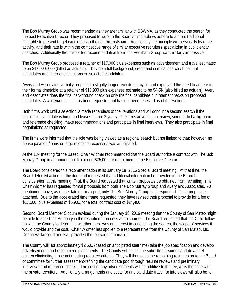The Bob Murray Group was recommended as they are familiar with SBWMA, as they conducted the search for the past Executive Director. They proposed to work to the Board's timetable vs adhere to a more traditional timetable to present target candidates to the committee/Board. Additionally the principle will personally lead the activity, and their rate is within the competitive range of similar executive recruiters specializing in public entity searches. Additionally the unsolicited recommendation from The Peckham Group was similarly impressive.

The Bob Murray Group proposed a retainer of \$17,000 plus expenses such as advertisement and travel estimated to be \$4,000-6,000 (billed as actuals). They do a full background, credit and criminal search of the final candidates and internet evaluations on selected candidates.

Avery and Associates verbally proposed a slightly longer recruitment cycle and expressed the need to adhere to their formal timetable at a retainer of \$16,900 plus expenses estimated to be \$4-5K (also billed as actuals). Avery and Associates does the final background check on only the final candidate but internet checks on proposed candidates. A written/email bid has been requested but has not been received as of this writing.

Both firms work until a selection is made regardless of the iterations and will conduct a second search if the successful candidate is hired and leaves before 2 years. The firms advertise, interview, screen, do background and reference checking, make recommendations and participate in final interviews. They also participate in final negotiations as requested.

The firms were informed that the role was being viewed as a regional search but not limited to that; however, no house payment/loans or large relocation expenses was anticipated.

At the 18th meeting for the Based, Chair Widmer recommended that the Board authorize a contract with The Bob Murray Group in an amount not to exceed \$25,000 for recruitment of the Executive Director.

The Board considered this recommendation at its January 18, 2016 Special Board meeting. At that time, the Board deferred action on the item and requested that additional information be provided to the Board for consideration at this meeting. First, the Board requested that written proposals be obtained from recruiting firms. Chair Widmer has requested formal proposals from both The Bob Murray Group and Avery and Associates. As mentioned above, as of the date of this report, only The Bob Murray Group has responded. Their proposal is attached. Due to the accelerated time frame requested, they have revised their proposal to provide for a fee of \$17,500, plus expenses of \$6,900, for a total contract cost of \$24,400.

Second, Board Member Slocum advised during the January 18, 2016 meeting that the County of San Mateo might be able to assist the Authority in the recruitment process at no charge. The Board requested that the Chair follow up with the County to determine whether there was an interest in conducting the search, the scope of services it would provide and the cost. Chair Widmer has spoken to a representative from the County of San Mateo, Ms. Donna Vaillancourt and was provided the following information:

The County will, for approximately \$2,500 (based on anticipated staff time) take the job specification and develop advertisements and recommend placements. The County will collect the submitted resumes and do a brief screen eliminating those not meeting required criteria. They will then pass the remaining resumes on to the Board or committee for further assessment-refining the candidate pool through resume reviews and preliminary interviews and reference checks. The cost of any advertisements will be additive to the fee, as is the case with the private recruiters. Additionally arrangements and costs for any candidate travel for interviews will also be to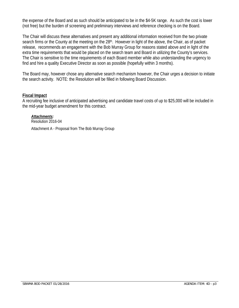the expense of the Board and as such should be anticipated to be in the \$4-5K range. As such the cost is lower (not free) but the burden of screening and preliminary interviews and reference checking is on the Board.

The Chair will discuss these alternatives and present any additional information received from the two private search firms or the County at the meeting on the 28<sup>th</sup>. However in light of the above, the Chair, as of packet release, recommends an engagement with the Bob Murray Group for reasons stated above and in light of the extra time requirements that would be placed on the search team and Board in utilizing the County's services. The Chair is sensitive to the time requirements of each Board member while also understanding the urgency to find and hire a quality Executive Director as soon as possible (hopefully within 3 months).

The Board may, however chose any alternative search mechanism however, the Chair urges a decision to initiate the search activity. NOTE: the Resolution will be filled in following Board Discussion.

# **Fiscal Impact**

A recruiting fee inclusive of anticipated advertising and candidate travel costs of up to \$25,000 will be included in the mid-year budget amendment for this contract.

*Attachments:*  Resolution 2016-04

Attachment A - Proposal from The Bob Murray Group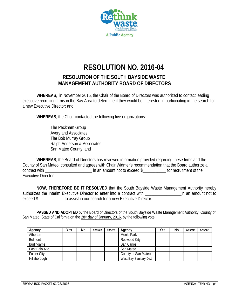

# **RESOLUTION NO. 2016-04**

# **RESOLUTION OF THE SOUTH BAYSIDE WASTE MANAGEMENT AUTHORITY BOARD OF DIRECTORS**

**WHEREAS**, in November 2015, the Chair of the Board of Directors was authorized to contact leading executive recruiting firms in the Bay Area to determine if they would be interested in participating in the search for a new Executive Director; and

**WHEREAS**, the Chair contacted the following five organizations:

 The Peckham Group Avery and Associates The Bob Murray Group Ralph Anderson & Associates San Mateo County; and

**WHEREAS**, the Board of Directors has reviewed information provided regarding these firms and the County of San Mateo, consulted and agrees with Chair Widmer's recommendation that the Board authorize a contract with \_\_\_\_\_\_\_\_\_\_\_\_\_\_\_\_\_\_\_\_\_\_\_\_\_\_\_\_\_\_ in an amount not to exceed \$\_\_\_\_\_\_\_\_\_\_\_\_\_ for recruitment of the Executive Director.

**NOW, THEREFORE BE IT RESOLVED** that the South Bayside Waste Management Authority hereby authorizes the Interim Executive Director to enter into a contract with **Executive in an amount not to** exceed \$ to assist in our search for a new Executive Director.

 **PASSED AND ADOPTED** by the Board of Directors of the South Bayside Waste Management Authority, County of San Mateo, State of California on the 28<sup>th</sup> day of January, 2016, by the following vote:

| Agency             | Yes | No | Abstain | Absent | Agency                 | Yes | No | Abstain | Absent |
|--------------------|-----|----|---------|--------|------------------------|-----|----|---------|--------|
| Atherton           |     |    |         |        | Menlo Park             |     |    |         |        |
| Belmont            |     |    |         |        | Redwood City           |     |    |         |        |
| Burlingame         |     |    |         |        | San Carlos             |     |    |         |        |
| East Palo Alto     |     |    |         |        | San Mateo              |     |    |         |        |
| <b>Foster City</b> |     |    |         |        | County of San Mateo    |     |    |         |        |
| Hillsborough       |     |    |         |        | West Bay Sanitary Dist |     |    |         |        |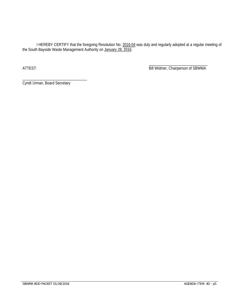I HEREBY CERTIFY that the foregoing Resolution No. 2016-04 was duly and regularly adopted at a regular meeting of the South Bayside Waste Management Authority on January 28, 2016.

 $\overline{\phantom{a}}$  , and the contract of the contract of the contract of the contract of the contract of the contract of the contract of the contract of the contract of the contract of the contract of the contract of the contrac ATTEST: **Bill Widmer, Chairperson of SBWMA** 

Cyndi Urman, Board Secretary

\_\_\_\_\_\_\_\_\_\_\_\_\_\_\_\_\_\_\_\_\_\_\_\_\_\_\_\_\_\_\_\_\_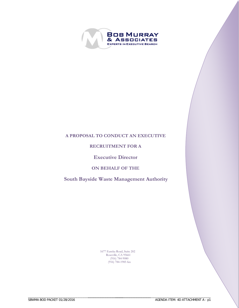

# **A PROPOSAL TO CONDUCT AN EXECUTIVE**

# **RECRUITMENT FOR A**

# **Executive Director**

# **ON BEHALF OF THE**

# **South Bayside Waste Management Authority**

1677 Eureka Road, Suite 202 Roseville, CA 95661 (916) 784-9080 (916) 784-1985 fax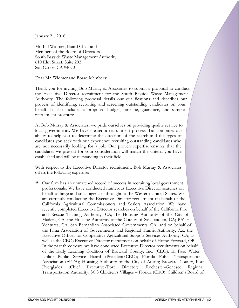January 21, 2016

Mr. Bill Widmer, Board Chair and Members of the Board of Directors South Bayside Waste Management Authority 610 Elm Street, Suite 202 San Carlos, CA 94070

Dear Mr. Widmer and Board Members:

Thank you for inviting Bob Murray & Associates to submit a proposal to conduct the Executive Director recruitment for the South Bayside Waste Management Authority. The following proposal details our qualifications and describes our process of identifying, recruiting and screening outstanding candidates on your behalf. It also includes a proposed budget, timeline, guarantee, and sample recruitment brochure.

At Bob Murray & Associates, we pride ourselves on providing quality service to local governments. We have created a recruitment process that combines our ability to help you to determine the direction of the search and the types of candidates you seek with our experience recruiting outstanding candidates who are not necessarily looking for a job. Our proven expertise ensures that the candidates we present for your consideration will match the criteria you have established and will be outstanding in their field.

With respect to the Executive Director recruitment, Bob Murray & Associates offers the following expertise:

 $\rightarrow$  Our firm has an unmatched record of success in recruiting local government professionals. We have conducted numerous Executive Director searches on behalf of large and small agencies throughout the Western United States. We are currently conducting the Executive Director recruitment on behalf of the California Agricultural Commissioners and Sealers Association. We have recently completed Executive Director searches on behalf of the California Fire and Rescue Training Authority, CA; the Housing Authority of the City of Madera, CA; the Housing Authority of the County of San Joaquin, CA; PATH Ventures, CA; San Bernardino Associated Governments, CA; and on behalf of the Pima Association of Governments and Regional Transit Authority, AZ; the Executive Officer for Cooperative Agricultural Support Services Authority, CA; as well as the CEO/Executive Director recruitment on behalf of Home Forward, OR. In the past three years, we have conducted Executive Director recruitments on behalf of the Early Learning Coalition of Broward County, Inc. (CEO); El Paso Water Utilities-Public Service Board (President/CEO); Florida Public Transportation Association (FPTA); Housing Authority of the City of Austin; Broward County, Port Everglades (Chief Executive/Port Director); Rochester-Genesee Regional Transportation Authority; SOS Children's Villages – Florida (CEO); Children's Board of

\_\_\_\_\_\_\_\_\_\_\_\_\_\_\_\_\_\_\_\_\_\_\_\_\_\_\_\_\_\_\_\_\_\_\_\_\_\_\_\_\_\_\_\_\_\_\_\_\_\_\_\_\_\_\_\_

\_\_\_\_\_\_\_\_\_\_\_\_\_\_\_\_\_\_\_\_\_\_\_\_\_\_\_\_\_\_\_\_\_\_\_\_\_ \_\_\_\_\_\_\_\_\_\_\_\_\_\_\_\_\_\_\_\_\_\_\_\_\_\_\_\_\_\_\_\_\_\_\_\_\_\_\_\_\_\_\_\_\_\_\_\_\_\_\_\_\_\_\_\_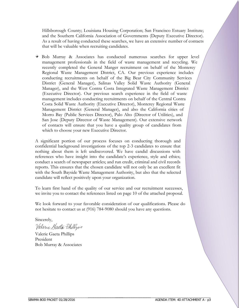Hillsborough County; Louisiana Housing Corporation; San Francisco Estuary Institute; and the Southern California Association of Governments (Deputy Executive Director). As a result of having conducted these searches, we have an extensive number of contacts that will be valuable when recruiting candidates.

Bob Murray & Associates has conducted numerous searches for upper level management professionals in the field of waste management and recycling. We recently completed the General Manger recruitment on behalf of the Monterey Regional Waste Management District, CA. Our previous experience includes conducting recruitments on behalf of the Big Bear City Community Services District (General Manager), Salinas Valley Solid Waste Authority (General Manager), and the West Contra Costa Integrated Waste Management District (Executive Director). Our previous search experience in the field of waste management includes conducting recruitments on behalf of the Central Contra Costa Solid Waste Authority (Executive Director), Monterey Regional Waste Management District (General Manager), and also the California cities of Morro Bay (Public Services Director), Palo Alto (Director of Utilities), and San Jose (Deputy Director of Waste Management). Our extensive network of contacts will ensure that you have a quality group of candidates from which to choose your new Executive Director.

A significant portion of our process focuses on conducting thorough and confidential background investigations of the top 2-3 candidates to ensure that nothing about them is left undiscovered. We have candid discussions with references who have insight into the candidate's experience, style and ethics; conduct a search of newspaper articles; and run credit, criminal and civil records reports. This ensures that the chosen candidate will not only be an excellent fit with the South Bayside Waste Management Authority, but also that the selected candidate will reflect positively upon your organization.

To learn first hand of the quality of our service and our recruitment successes, we invite you to contact the references listed on page 10 of the attached proposal.

We look forward to your favorable consideration of our qualifications. Please do not hesitate to contact us at (916) 784-9080 should you have any questions.

Sincerely, Valerie Haeta Phillys

Valerie Gaeta Phillips President Bob Murray & Associates

\_\_\_\_\_\_\_\_\_\_\_\_\_\_\_\_\_\_\_\_\_\_\_\_\_\_\_\_\_\_\_\_\_\_\_\_\_\_\_\_\_\_\_\_\_\_\_\_\_\_\_\_\_\_\_\_

\_\_\_\_\_\_\_\_\_\_\_\_\_\_\_\_\_\_\_\_\_\_\_\_\_\_\_\_\_\_\_\_\_\_\_\_\_ \_\_\_\_\_\_\_\_\_\_\_\_\_\_\_\_\_\_\_\_\_\_\_\_\_\_\_\_\_\_\_\_\_\_\_\_\_\_\_\_\_\_\_\_\_\_\_\_\_\_\_\_\_\_\_\_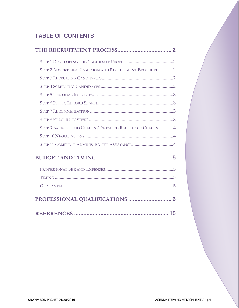# **TABLE OF CONTENTS**

| STEP 2 ADVERTISING CAMPAIGN AND RECRUITMENT BROCHURE 2 |
|--------------------------------------------------------|
|                                                        |
|                                                        |
|                                                        |
|                                                        |
|                                                        |
|                                                        |
| STEP 9 BACKGROUND CHECKS / DETAILED REFERENCE CHECKS4  |
|                                                        |
|                                                        |
|                                                        |
|                                                        |
|                                                        |
|                                                        |
| PROFESSIONAL QUALIFICATIONS  6                         |
|                                                        |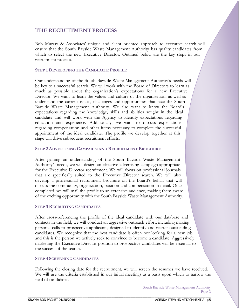# **THE RECRUITMENT PROCESS**

Bob Murray & Associates' unique and client oriented approach to executive search will ensure that the South Bayside Waste Management Authority has quality candidates from which to select the new Executive Director. Outlined below are the key steps in our recruitment process.

## **STEP 1 DEVELOPING THE CANDIDATE PROFILE**

Our understanding of the South Bayside Waste Management Authority's needs will be key to a successful search. We will work with the Board of Directors to learn as much as possible about the organization's expectations for a new Executive Director. We want to learn the values and culture of the organization, as well as understand the current issues, challenges and opportunities that face the South Bayside Waste Management Authority. We also want to know the Board's expectations regarding the knowledge, skills and abilities sought in the ideal candidate and will work with the Agency to identify expectations regarding education and experience. Additionally, we want to discuss expectations regarding compensation and other items necessary to complete the successful appointment of the ideal candidate. The profile we develop together at this stage will drive subsequent recruitment efforts.

## **STEP 2 ADVERTISING CAMPAIGN AND RECRUITMENT BROCHURE**

After gaining an understanding of the South Bayside Waste Management Authority's needs, we will design an effective advertising campaign appropriate for the Executive Director recruitment. We will focus on professional journals that are specifically suited to the Executive Director search. We will also develop a professional recruitment brochure on the Board's behalf that will discuss the community, organization, position and compensation in detail. Once completed, we will mail the profile to an extensive audience, making them aware of the exciting opportunity with the South Bayside Waste Management Authority.

# **STEP 3 RECRUITING CANDIDATES**

After cross-referencing the profile of the ideal candidate with our database and contacts in the field, we will conduct an aggressive outreach effort, including making personal calls to prospective applicants, designed to identify and recruit outstanding candidates. We recognize that the best candidate is often not looking for a new job and this is the person we actively seek to convince to become a candidate. Aggressively marketing the Executive Director position to prospective candidates will be essential to the success of the search.

#### **STEP 4 SCREENING CANDIDATES**

\_\_\_\_\_\_\_\_\_\_\_\_\_\_\_\_\_\_\_\_\_\_\_\_\_\_\_\_\_\_\_\_\_\_\_\_\_\_\_\_\_\_\_\_\_\_\_\_\_\_\_\_\_\_\_\_

Following the closing date for the recruitment, we will screen the resumes we have received. We will use the criteria established in our initial meetings as a basis upon which to narrow the field of candidates.

> South Bayside Waste Management Authority Page 2

\_\_\_\_\_\_\_\_\_\_\_\_\_\_\_\_\_\_\_\_\_\_\_\_\_\_\_\_\_\_\_\_\_\_\_\_\_ \_\_\_\_\_\_\_\_\_\_\_\_\_\_\_\_\_\_\_\_\_\_\_\_\_\_\_\_\_\_\_\_\_\_\_\_\_\_\_\_\_\_\_\_\_\_\_\_\_\_\_\_\_\_\_\_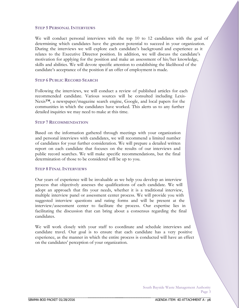#### **STEP 5 PERSONAL INTERVIEWS**

We will conduct personal interviews with the top 10 to 12 candidates with the goal of determining which candidates have the greatest potential to succeed in your organization. During the interviews we will explore each candidate's background and experience as it relates to the Executive Director position. In addition, we will discuss the candidate's motivation for applying for the position and make an assessment of his/her knowledge, skills and abilities. We will devote specific attention to establishing the likelihood of the candidate's acceptance of the position if an offer of employment is made.

#### **STEP 6 PUBLIC RECORD SEARCH**

Following the interviews, we will conduct a review of published articles for each recommended candidate. Various sources will be consulted including Lexis-Nexis<sup>™</sup>, a newspaper/magazine search engine, Google, and local papers for the communities in which the candidates have worked. This alerts us to any further detailed inquiries we may need to make at this time.

#### **STEP 7 RECOMMENDATION**

Based on the information gathered through meetings with your organization and personal interviews with candidates, we will recommend a limited number of candidates for your further consideration. We will prepare a detailed written report on each candidate that focuses on the results of our interviews and public record searches. We will make specific recommendations, but the final determination of those to be considered will be up to you.

#### **STEP 8 FINAL INTERVIEWS**

Our years of experience will be invaluable as we help you develop an interview process that objectively assesses the qualifications of each candidate. We will adopt an approach that fits your needs, whether it is a traditional interview, multiple interview panel or assessment center process. We will provide you with suggested interview questions and rating forms and will be present at the interview/assessment center to facilitate the process. Our expertise lies in facilitating the discussion that can bring about a consensus regarding the final candidates.

We will work closely with your staff to coordinate and schedule interviews and candidate travel. Our goal is to ensure that each candidate has a very positive experience, as the manner in which the entire process is conducted will have an effect on the candidates' perception of your organization.

> South Bayside Waste Management Authority Page 3

\_\_\_\_\_\_\_\_\_\_\_\_\_\_\_\_\_\_\_\_\_\_\_\_\_\_\_\_\_\_\_\_\_\_\_\_\_ \_\_\_\_\_\_\_\_\_\_\_\_\_\_\_\_\_\_\_\_\_\_\_\_\_\_\_\_\_\_\_\_\_\_\_\_\_\_\_\_\_\_\_\_\_\_\_\_\_\_\_\_\_\_\_\_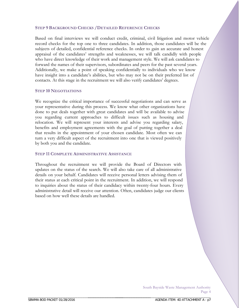# **STEP 9 BACKGROUND CHECKS /DETAILED REFERENCE CHECKS**

Based on final interviews we will conduct credit, criminal, civil litigation and motor vehicle record checks for the top one to three candidates. In addition, those candidates will be the subjects of detailed, confidential reference checks. In order to gain an accurate and honest appraisal of the candidates' strengths and weaknesses, we will talk candidly with people who have direct knowledge of their work and management style. We will ask candidates to forward the names of their supervisors, subordinates and peers for the past several years. Additionally, we make a point of speaking confidentially to individuals who we know have insight into a candidate's abilities, but who may not be on their preferred list of contacts. At this stage in the recruitment we will also verify candidates' degrees.

#### **STEP 10 NEGOTIATIONS**

We recognize the critical importance of successful negotiations and can serve as your representative during this process. We know what other organizations have done to put deals together with great candidates and will be available to advise you regarding current approaches to difficult issues such as housing and relocation. We will represent your interests and advise you regarding salary, benefits and employment agreements with the goal of putting together a deal that results in the appointment of your chosen candidate. Most often we can turn a very difficult aspect of the recruitment into one that is viewed positively by both you and the candidate.

#### **STEP 11 COMPLETE ADMINISTRATIVE ASSISTANCE**

Throughout the recruitment we will provide the Board of Directors with updates on the status of the search. We will also take care of all administrative details on your behalf. Candidates will receive personal letters advising them of their status at each critical point in the recruitment. In addition, we will respond to inquiries about the status of their candidacy within twenty-four hours. Every administrative detail will receive our attention. Often, candidates judge our clients based on how well these details are handled.

\_\_\_\_\_\_\_\_\_\_\_\_\_\_\_\_\_\_\_\_\_\_\_\_\_\_\_\_\_\_\_\_\_\_\_\_\_ \_\_\_\_\_\_\_\_\_\_\_\_\_\_\_\_\_\_\_\_\_\_\_\_\_\_\_\_\_\_\_\_\_\_\_\_\_\_\_\_\_\_\_\_\_\_\_\_\_\_\_\_\_\_\_\_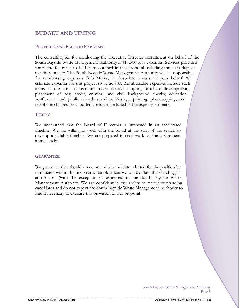# **BUDGET AND TIMING**

#### **PROFESSIONAL FEE AND EXPENSES**

The consulting fee for conducting the Executive Director recruitment on behalf of the South Bayside Waste Management Authority is \$17,500 plus expenses. Services provided for in the fee consist of all steps outlined in this proposal including three (3) days of meetings on site. The South Bayside Waste Management Authority will be responsible for reimbursing expenses Bob Murray & Associates incurs on your behalf. We estimate expenses for this project to be \$6,900. Reimbursable expenses include such items as the cost of recruiter travel; clerical support; brochure development; placement of ads; credit, criminal and civil background checks; education verification; and public records searches. Postage, printing, photocopying, and telephone charges are allocated costs and included in the expense estimate.

#### **TIMING**

We understand that the Board of Directors is interested in an accelerated timeline. We are willing to work with the board at the start of the search to develop a suitable timeline. We are prepared to start work on this assignment immediately.

#### **GUARANTEE**

We guarantee that should a recommended candidate selected for the position be terminated within the first year of employment we will conduct the search again at no cost (with the exception of expenses) to the South Bayside Waste Management Authority. We are confident in our ability to recruit outstanding candidates and do not expect the South Bayside Waste Management Authority to find it necessary to exercise this provision of our proposal.

> South Bayside Waste Management Authority Page 5

\_\_\_\_\_\_\_\_\_\_\_\_\_\_\_\_\_\_\_\_\_\_\_\_\_\_\_\_\_\_\_\_\_\_\_\_\_ \_\_\_\_\_\_\_\_\_\_\_\_\_\_\_\_\_\_\_\_\_\_\_\_\_\_\_\_\_\_\_\_\_\_\_\_\_\_\_\_\_\_\_\_\_\_\_\_\_\_\_\_\_\_\_\_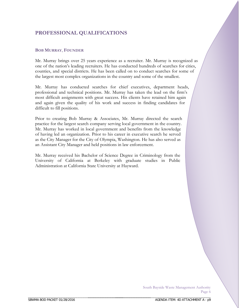# **PROFESSIONAL QUALIFICATIONS**

## **BOB MURRAY**, **FOUNDER**

Mr. Murray brings over 25 years experience as a recruiter. Mr. Murray is recognized as one of the nation's leading recruiters. He has conducted hundreds of searches for cities, counties, and special districts. He has been called on to conduct searches for some of the largest most complex organizations in the country and some of the smallest.

Mr. Murray has conducted searches for chief executives, department heads, professional and technical positions. Mr. Murray has taken the lead on the firm's most difficult assignments with great success. His clients have retained him again and again given the quality of his work and success in finding candidates for difficult to fill positions.

Prior to creating Bob Murray & Associates, Mr. Murray directed the search practice for the largest search company serving local government in the country. Mr. Murray has worked in local government and benefits from the knowledge of having led an organization. Prior to his career in executive search he served as the City Manager for the City of Olympia, Washington. He has also served as an Assistant City Manager and held positions in law enforcement.

Mr. Murray received his Bachelor of Science Degree in Criminology from the University of California at Berkeley with graduate studies in Public Administration at California State University at Hayward.

> South Bayside Waste Management Authority Page 6

\_\_\_\_\_\_\_\_\_\_\_\_\_\_\_\_\_\_\_\_\_\_\_\_\_\_\_\_\_\_\_\_\_\_\_\_\_ \_\_\_\_\_\_\_\_\_\_\_\_\_\_\_\_\_\_\_\_\_\_\_\_\_\_\_\_\_\_\_\_\_\_\_\_\_\_\_\_\_\_\_\_\_\_\_\_\_\_\_\_\_\_\_\_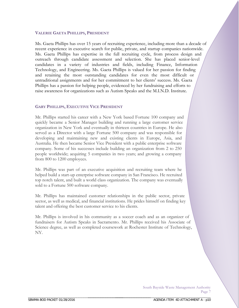## **VALERIE GAETA PHILLIPS, PRESIDENT**

Ms. Gaeta Phillips has over 15 years of recruiting experience, including more than a decade of recent experience in executive search for public, private, and startup companies nationwide. Ms. Gaeta Phillips has expertise in the full recruiting cycle, from process design and outreach through candidate assessment and selection. She has placed senior-level candidates in a variety of industries and fields, including Finance, Information Technology, and Engineering. Ms. Gaeta Phillips is valued for her passion for finding and retaining the most outstanding candidates for even the most difficult or untraditional assignments and for her commitment to her clients' success. Ms. Gaeta Phillips has a passion for helping people, evidenced by her fundraising and efforts to raise awareness for organizations such as Autism Speaks and the M.I.N.D. Institute.

## **GARY PHILLIPS, EXECUTIVE VICE PRESIDENT**

Mr. Phillips started his career with a New York based Fortune 100 company and quickly became a Senior Manager building and running a large customer service organization in New York and eventually in thirteen countries in Europe. He also served as a Director with a large Fortune 500 company and was responsible for developing and maintaining new and existing clients in Europe, Asia, and Australia. He then became Senior Vice President with a public enterprise software company. Some of his successes include building an organization from 2 to 250 people worldwide; acquiring 5 companies in two years; and growing a company from 800 to 1200 employees.

Mr. Phillips was part of an executive acquisition and recruiting team where he helped build a start-up enterprise software company in San Francisco. He recruited top notch talent, and built a world class organization. The company was eventually sold to a Fortune 500 software company.

Mr. Phillips has maintained customer relationships in the public sector, private sector, as well as medical, and financial institutions. He prides himself on finding key talent and offering the best customer service to his clients.

Mr. Phillips is involved in his community as a soccer coach and as an organizer of fundraisers for Autism Speaks in Sacramento. Mr. Phillips received his Associate of Science degree, as well as completed coursework at Rochester Institute of Technology, NY.

> South Bayside Waste Management Authority Page 7

\_\_\_\_\_\_\_\_\_\_\_\_\_\_\_\_\_\_\_\_\_\_\_\_\_\_\_\_\_\_\_\_\_\_\_\_\_ \_\_\_\_\_\_\_\_\_\_\_\_\_\_\_\_\_\_\_\_\_\_\_\_\_\_\_\_\_\_\_\_\_\_\_\_\_\_\_\_\_\_\_\_\_\_\_\_\_\_\_\_\_\_\_\_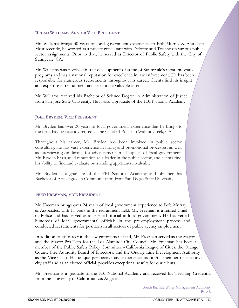# **REGAN WILLIAMS, SENIOR VICE PRESIDENT**

Mr. Williams brings 30 years of local government experience to Bob Murray & Associates. Most recently, he worked as a private consultant with Deloitte and Touche on various public sector assignments. Prior to that, he served as Director of Public Safety with the City of Sunnyvale, CA.

Mr. Williams was involved in the development of some of Sunnyvale's most innovative programs and has a national reputation for excellence in law enforcement. He has been responsible for numerous recruitments throughout his career. Clients find his insight and expertise in recruitment and selection a valuable asset.

Mr. Williams received his Bachelor of Science Degree in Administration of Justice from San Jose State University. He is also a graduate of the FBI National Academy.

# **JOEL BRYDEN, VICE PRESIDENT**

Mr. Bryden has over 30 years of local government experience that he brings to the firm, having recently retired as the Chief of Police in Walnut Creek, CA.

Throughout his career, Mr. Bryden has been involved in public sector consulting. He has vast experience in hiring and promotional processes, as well as interviewing candidates for advancement in all aspects of local government. Mr. Bryden has a solid reputation as a leader in the public sector, and clients find his ability to find and evaluate outstanding applicants invaluable.

Mr. Bryden is a graduate of the FBI National Academy and obtained his Bachelor of Arts degree in Communication from San Diego State University.

# **FRED FREEMAN, VICE PRESIDENT**

Mr. Freeman brings over 24 years of local government experience to Bob Murray & Associates, with 11 years in the recruitment field. Mr. Freeman is a retired Chief of Police and has served as an elected official in local government. He has vetted hundreds of local governmental officials in the pre-employment process and conducted recruitments for positions in all sectors of public agency employment.

In addition to his career in the law enforcement field, Mr. Freeman served as the Mayor and the Mayor Pro-Tem for the Los Alamitos City Council. Mr. Freeman has been a member of the Public Safety Policy Committee - California League of Cities; the Orange County Fire Authority Board of Directors; and the Orange Line Development Authority as the Vice-Chair. His unique perspective and experience, as both a member of executive city staff and as an elected official, provides exceptional results for our clients.

Mr. Freeman is a graduate of the FBI National Academy and received his Teaching Credential from the University of California Los Angeles.

> South Bayside Waste Management Authority Page 8

\_\_\_\_\_\_\_\_\_\_\_\_\_\_\_\_\_\_\_\_\_\_\_\_\_\_\_\_\_\_\_\_\_\_\_\_\_ \_\_\_\_\_\_\_\_\_\_\_\_\_\_\_\_\_\_\_\_\_\_\_\_\_\_\_\_\_\_\_\_\_\_\_\_\_\_\_\_\_\_\_\_\_\_\_\_\_\_\_\_\_\_\_\_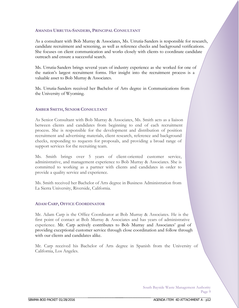#### **AMANDA URRUTIA-SANDERS, PRINCIPAL CONSULTANT**

As a consultant with Bob Murray & Associates, Ms. Urrutia-Sanders is responsible for research, candidate recruitment and screening, as well as reference checks and background verifications. She focuses on client communication and works closely with clients to coordinate candidate outreach and ensure a successful search.

Ms. Urrutia-Sanders brings several years of industry experience as she worked for one of the nation's largest recruitment forms. Her insight into the recruitment process is a valuable asset to Bob Murray & Associates.

Ms. Urrutia-Sanders received her Bachelor of Arts degree in Communications from the University of Wyoming.

#### **AMBER SMITH, SENIOR CONSULTANT**

As Senior Consultant with Bob Murray & Associates, Ms. Smith acts as a liaison between clients and candidates from beginning to end of each recruitment process. She is responsible for the development and distribution of position recruitment and advertising materials, client research, reference and background checks, responding to requests for proposals, and providing a broad range of support services for the recruiting team.

Ms. Smith brings over 5 years of client-oriented customer service, administrative, and management experience to Bob Murray & Associates. She is committed to working as a partner with clients and candidates in order to provide a quality service and experience.

Ms. Smith received her Bachelor of Arts degree in Business Administration from La Sierra University, Riverside, California.

#### **ADAM CARP, OFFICE COORDINATOR**

\_\_\_\_\_\_\_\_\_\_\_\_\_\_\_\_\_\_\_\_\_\_\_\_\_\_\_\_\_\_\_\_\_\_\_\_\_\_\_\_\_\_\_\_\_\_\_\_\_\_\_\_\_\_\_\_

Mr. Adam Carp is the Office Coordinator at Bob Murray & Associates. He is the first point of contact at Bob Murray & Associates and has years of administrative experience. Mr. Carp actively contributes to Bob Murray and Associates' goal of providing exceptional customer service through close coordination and follow through with our clients and candidates alike.

Mr. Carp received his Bachelor of Arts degree in Spanish from the University of California, Los Angeles.

> South Bayside Waste Management Authority Page 9

\_\_\_\_\_\_\_\_\_\_\_\_\_\_\_\_\_\_\_\_\_\_\_\_\_\_\_\_\_\_\_\_\_\_\_\_\_ \_\_\_\_\_\_\_\_\_\_\_\_\_\_\_\_\_\_\_\_\_\_\_\_\_\_\_\_\_\_\_\_\_\_\_\_\_\_\_\_\_\_\_\_\_\_\_\_\_\_\_\_\_\_\_\_